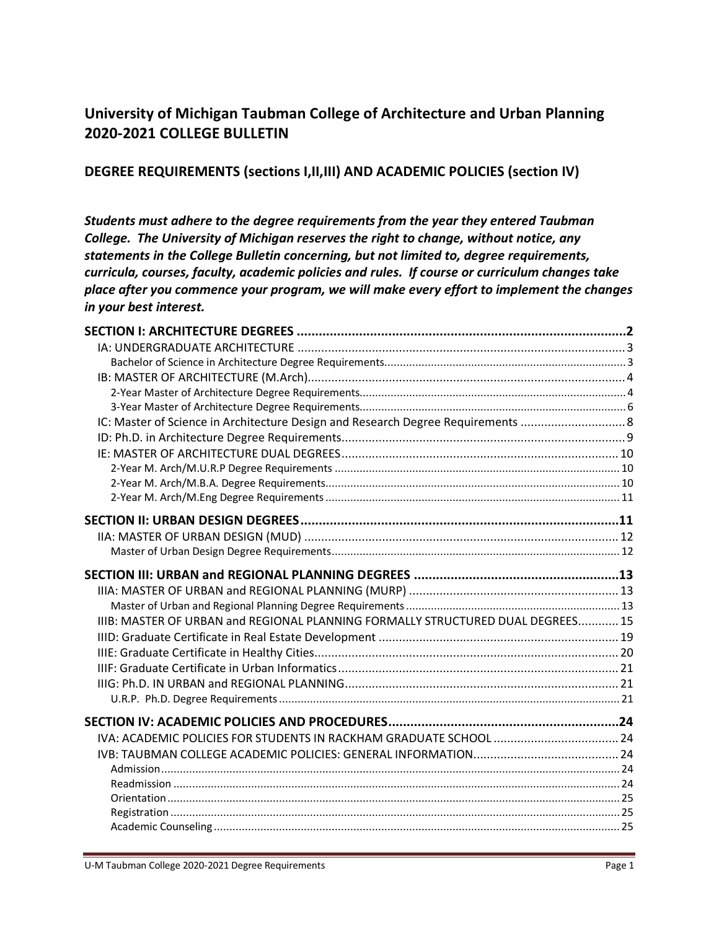# **University of Michigan Taubman College of Architecture and Urban Planning 2020-2021 COLLEGE BULLETIN**

## **DEGREE REQUIREMENTS (sections I,II,III) AND ACADEMIC POLICIES (section IV)**

*Students must adhere to the degree requirements from the year they entered Taubman College. The University of Michigan reserves the right to change, without notice, any statements in the College Bulletin concerning, but not limited to, degree requirements, curricula, courses, faculty, academic policies and rules. If course or curriculum changes take place after you commence your program, we will make every effort to implement the changes in your best interest.*

| IC: Master of Science in Architecture Design and Research Degree Requirements  8 |  |
|----------------------------------------------------------------------------------|--|
|                                                                                  |  |
|                                                                                  |  |
|                                                                                  |  |
|                                                                                  |  |
|                                                                                  |  |
|                                                                                  |  |
|                                                                                  |  |
|                                                                                  |  |
|                                                                                  |  |
|                                                                                  |  |
|                                                                                  |  |
|                                                                                  |  |
| IIIB: MASTER OF URBAN and REGIONAL PLANNING FORMALLY STRUCTURED DUAL DEGREES 15  |  |
|                                                                                  |  |
|                                                                                  |  |
|                                                                                  |  |
|                                                                                  |  |
|                                                                                  |  |
|                                                                                  |  |
|                                                                                  |  |
|                                                                                  |  |
|                                                                                  |  |
|                                                                                  |  |
|                                                                                  |  |
|                                                                                  |  |
|                                                                                  |  |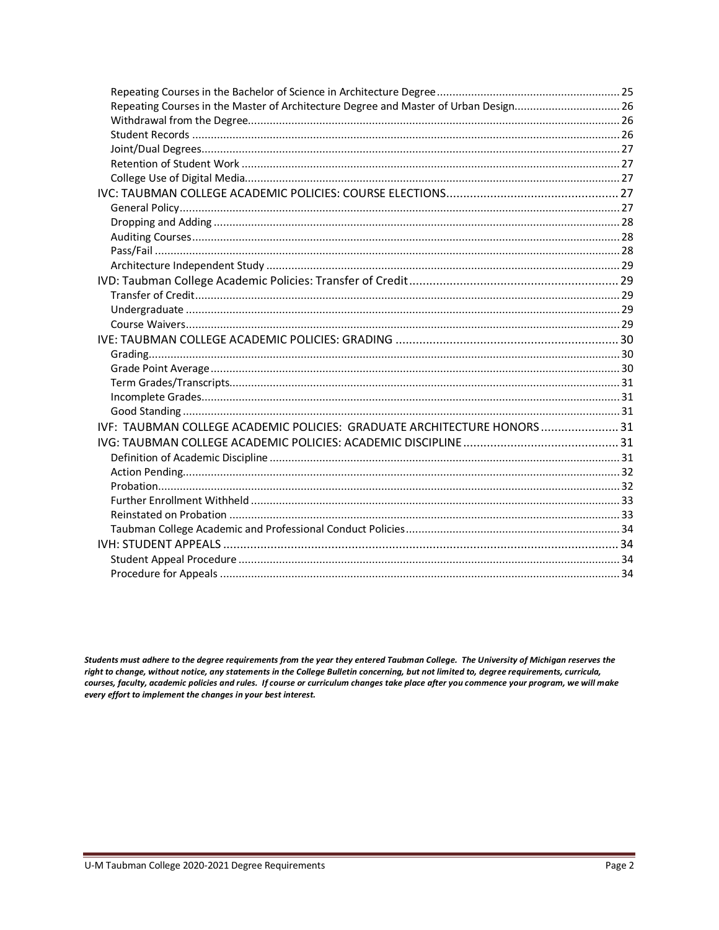| Repeating Courses in the Master of Architecture Degree and Master of Urban Design26 |  |
|-------------------------------------------------------------------------------------|--|
|                                                                                     |  |
|                                                                                     |  |
|                                                                                     |  |
|                                                                                     |  |
|                                                                                     |  |
|                                                                                     |  |
|                                                                                     |  |
|                                                                                     |  |
|                                                                                     |  |
|                                                                                     |  |
|                                                                                     |  |
|                                                                                     |  |
|                                                                                     |  |
|                                                                                     |  |
|                                                                                     |  |
|                                                                                     |  |
|                                                                                     |  |
|                                                                                     |  |
|                                                                                     |  |
|                                                                                     |  |
|                                                                                     |  |
| IVF: TAUBMAN COLLEGE ACADEMIC POLICIES: GRADUATE ARCHITECTURE HONORS31              |  |
|                                                                                     |  |
|                                                                                     |  |
|                                                                                     |  |
|                                                                                     |  |
|                                                                                     |  |
|                                                                                     |  |
|                                                                                     |  |
|                                                                                     |  |
|                                                                                     |  |
|                                                                                     |  |

Students must adhere to the degree requirements from the year they entered Taubman College. The University of Michigan reserves the right to change, without notice, any statements in the College Bulletin concerning, but not limited to, degree requirements, curricula, courses, faculty, academic policies and rules. If course or curriculum changes take place after you commence your program, we will make every effort to implement the changes in your best interest.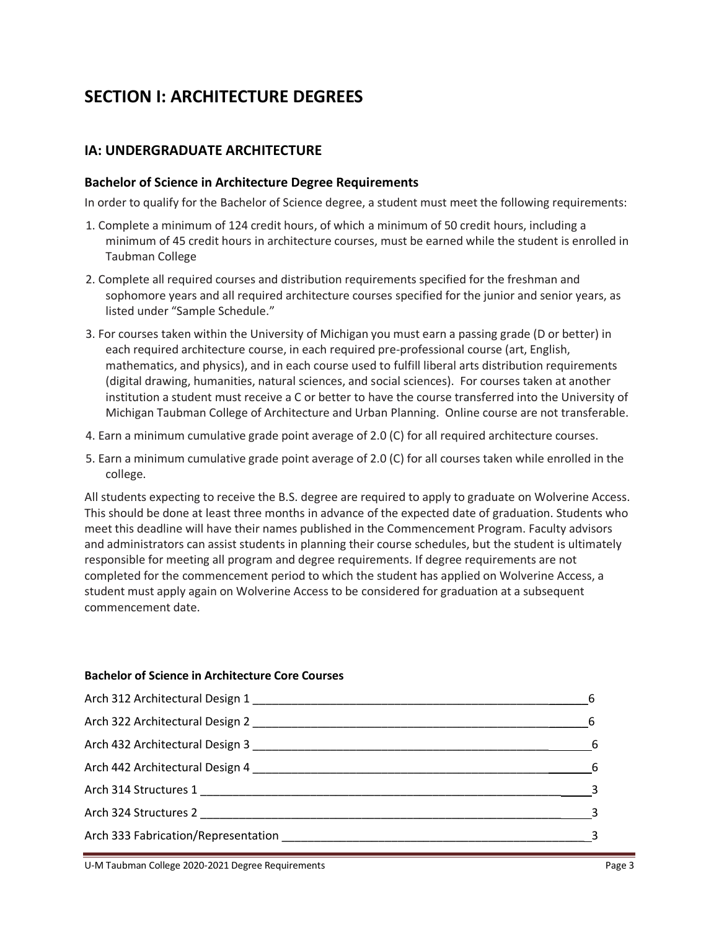# **SECTION I: ARCHITECTURE DEGREES**

## **IA: UNDERGRADUATE ARCHITECTURE**

#### **Bachelor of Science in Architecture Degree Requirements**

In order to qualify for the Bachelor of Science degree, a student must meet the following requirements:

- 1. Complete a minimum of 124 credit hours, of which a minimum of 50 credit hours, including a minimum of 45 credit hours in architecture courses, must be earned while the student is enrolled in Taubman College
- 2. Complete all required courses and distribution requirements specified for the freshman and sophomore years and all required architecture courses specified for the junior and senior years, as listed under "Sample Schedule."
- 3. For courses taken within the University of Michigan you must earn a passing grade (D or better) in each required architecture course, in each required pre-professional course (art, English, mathematics, and physics), and in each course used to fulfill liberal arts distribution requirements (digital drawing, humanities, natural sciences, and social sciences). For courses taken at another institution a student must receive a C or better to have the course transferred into the University of Michigan Taubman College of Architecture and Urban Planning. Online course are not transferable.
- 4. Earn a minimum cumulative grade point average of 2.0 (C) for all required architecture courses.
- 5. Earn a minimum cumulative grade point average of 2.0 (C) for all courses taken while enrolled in the college.

All students expecting to receive the B.S. degree are required to apply to graduate on Wolverine Access. This should be done at least three months in advance of the expected date of graduation. Students who meet this deadline will have their names published in the Commencement Program. Faculty advisors and administrators can assist students in planning their course schedules, but the student is ultimately responsible for meeting all program and degree requirements. If degree requirements are not completed for the commencement period to which the student has applied on Wolverine Access, a student must apply again on Wolverine Access to be considered for graduation at a subsequent commencement date.

#### **Bachelor of Science in Architecture Core Courses**

| Arch 442 Architectural Design 4 | 6 |
|---------------------------------|---|
|                                 |   |
| Arch 324 Structures 2           |   |
|                                 |   |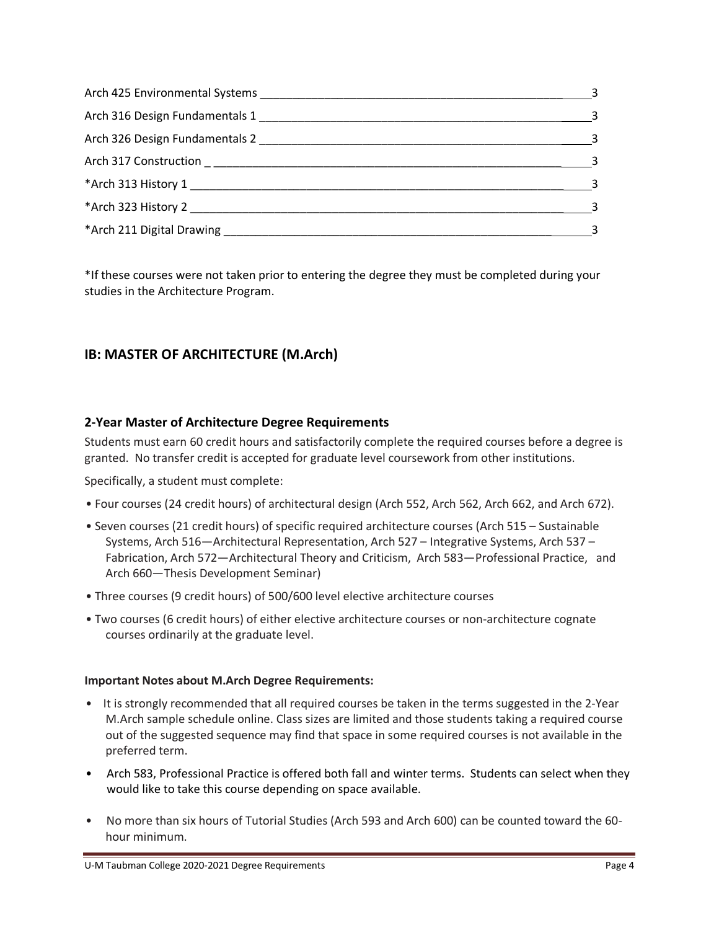| $\sim$ 3                   |
|----------------------------|
| $\overline{\phantom{a}}$   |
| $\sim$ 3                   |
| 3                          |
| $\sim$ 3                   |
| $\overline{\mathbf{3}}$    |
| $\overline{\phantom{a}}$ 3 |

\*If these courses were not taken prior to entering the degree they must be completed during your studies in the Architecture Program.

## **IB: MASTER OF ARCHITECTURE (M.Arch)**

## **2-Year Master of Architecture Degree Requirements**

Students must earn 60 credit hours and satisfactorily complete the required courses before a degree is granted. No transfer credit is accepted for graduate level coursework from other institutions.

Specifically, a student must complete:

- Four courses (24 credit hours) of architectural design (Arch 552, Arch 562, Arch 662, and Arch 672).
- Seven courses (21 credit hours) of specific required architecture courses (Arch 515 Sustainable Systems, Arch 516—Architectural Representation, Arch 527 – Integrative Systems, Arch 537 – Fabrication, Arch 572—Architectural Theory and Criticism, Arch 583—Professional Practice, and Arch 660—Thesis Development Seminar)
- Three courses (9 credit hours) of 500/600 level elective architecture courses
- Two courses (6 credit hours) of either elective architecture courses or non-architecture cognate courses ordinarily at the graduate level.

## **Important Notes about M.Arch Degree Requirements:**

- It is strongly recommended that all required courses be taken in the terms suggested in the 2-Year M.Arch sample schedule online. Class sizes are limited and those students taking a required course out of the suggested sequence may find that space in some required courses is not available in the preferred term.
- Arch 583, Professional Practice is offered both fall and winter terms. Students can select when they would like to take this course depending on space available.
- No more than six hours of Tutorial Studies (Arch 593 and Arch 600) can be counted toward the 60 hour minimum.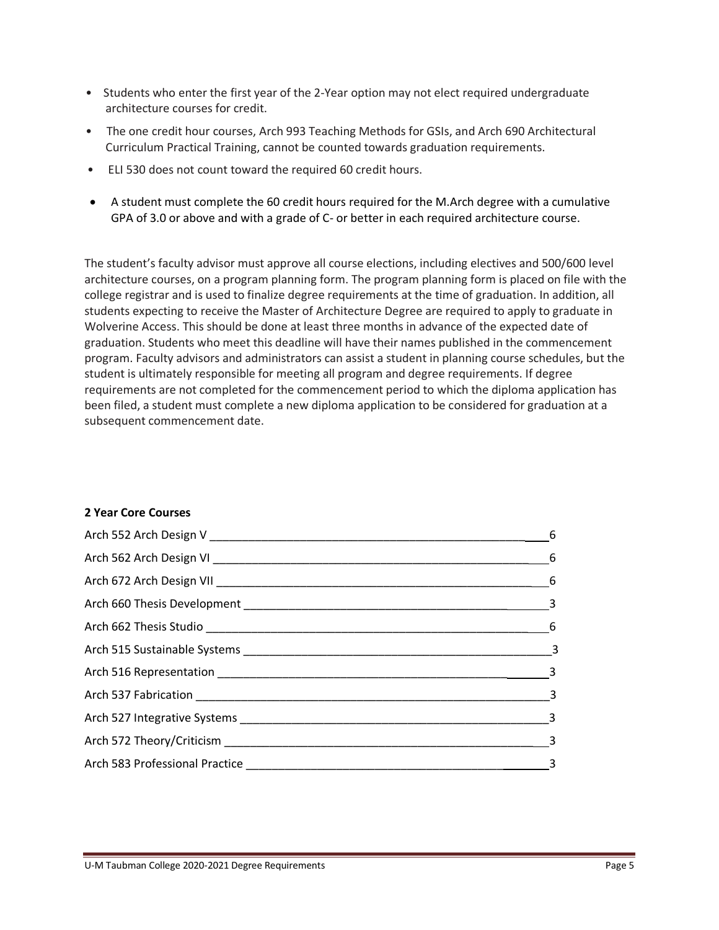- Students who enter the first year of the 2-Year option may not elect required undergraduate architecture courses for credit.
- The one credit hour courses, Arch 993 Teaching Methods for GSIs, and Arch 690 Architectural Curriculum Practical Training, cannot be counted towards graduation requirements.
- ELI 530 does not count toward the required 60 credit hours.
- A student must complete the 60 credit hours required for the M.Arch degree with a cumulative GPA of 3.0 or above and with a grade of C- or better in each required architecture course.

The student's faculty advisor must approve all course elections, including electives and 500/600 level architecture courses, on a program planning form. The program planning form is placed on file with the college registrar and is used to finalize degree requirements at the time of graduation. In addition, all students expecting to receive the Master of Architecture Degree are required to apply to graduate in Wolverine Access. This should be done at least three months in advance of the expected date of graduation. Students who meet this deadline will have their names published in the commencement program. Faculty advisors and administrators can assist a student in planning course schedules, but the student is ultimately responsible for meeting all program and degree requirements. If degree requirements are not completed for the commencement period to which the diploma application has been filed, a student must complete a new diploma application to be considered for graduation at a subsequent commencement date.

#### **2 Year Core Courses**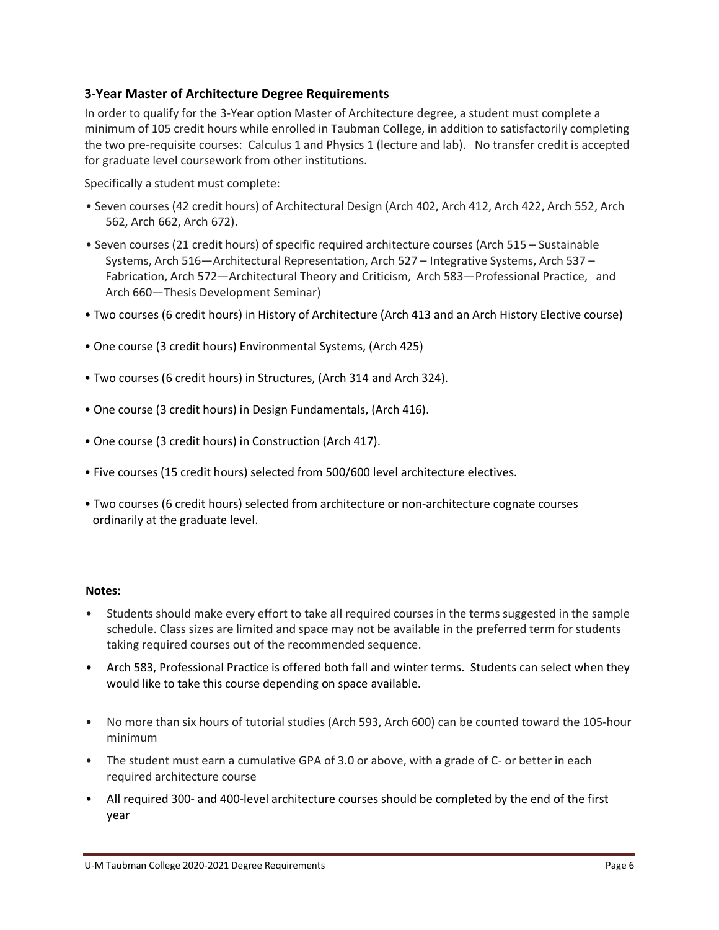## **3-Year Master of Architecture Degree Requirements**

In order to qualify for the 3-Year option Master of Architecture degree, a student must complete a minimum of 105 credit hours while enrolled in Taubman College, in addition to satisfactorily completing the two pre-requisite courses: Calculus 1 and Physics 1 (lecture and lab). No transfer credit is accepted for graduate level coursework from other institutions.

Specifically a student must complete:

- Seven courses (42 credit hours) of Architectural Design (Arch 402, Arch 412, Arch 422, Arch 552, Arch 562, Arch 662, Arch 672).
- Seven courses (21 credit hours) of specific required architecture courses (Arch 515 Sustainable Systems, Arch 516—Architectural Representation, Arch 527 – Integrative Systems, Arch 537 – Fabrication, Arch 572—Architectural Theory and Criticism, Arch 583—Professional Practice, and Arch 660—Thesis Development Seminar)
- Two courses (6 credit hours) in History of Architecture (Arch 413 and an Arch History Elective course)
- One course (3 credit hours) Environmental Systems, (Arch 425)
- Two courses (6 credit hours) in Structures, (Arch 314 and Arch 324).
- One course (3 credit hours) in Design Fundamentals, (Arch 416).
- One course (3 credit hours) in Construction (Arch 417).
- Five courses (15 credit hours) selected from 500/600 level architecture electives.
- Two courses (6 credit hours) selected from architecture or non-architecture cognate courses ordinarily at the graduate level.

#### **Notes:**

- Students should make every effort to take all required courses in the terms suggested in the sample schedule. Class sizes are limited and space may not be available in the preferred term for students taking required courses out of the recommended sequence.
- Arch 583, Professional Practice is offered both fall and winter terms. Students can select when they would like to take this course depending on space available.
- No more than six hours of tutorial studies (Arch 593, Arch 600) can be counted toward the 105-hour minimum
- The student must earn a cumulative GPA of 3.0 or above, with a grade of C- or better in each required architecture course
- All required 300- and 400-level architecture courses should be completed by the end of the first year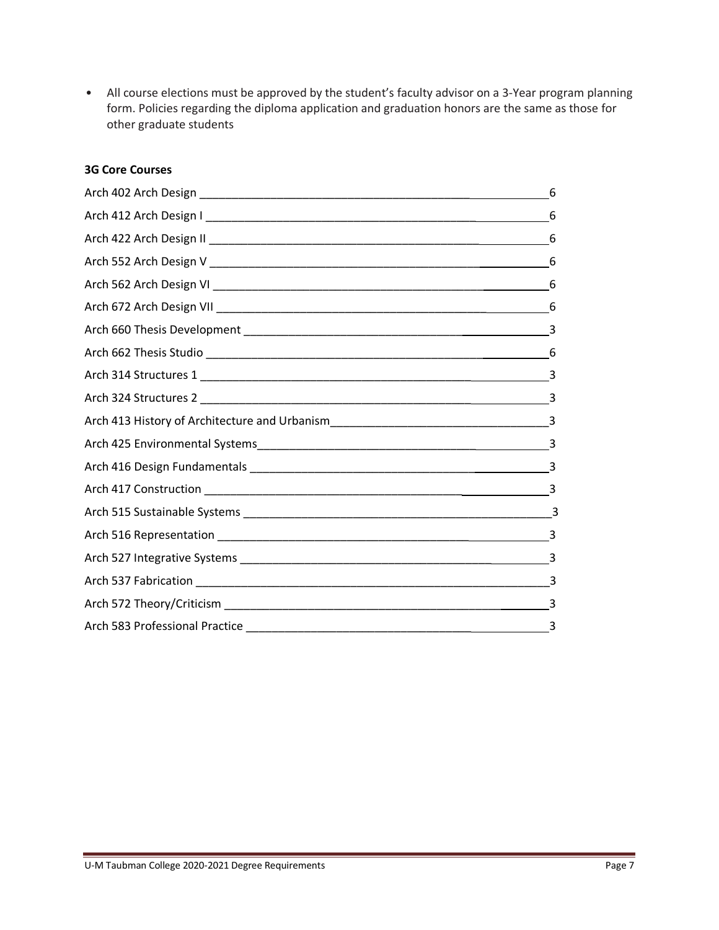• All course elections must be approved by the student's faculty advisor on a 3-Year program planning form. Policies regarding the diploma application and graduation honors are the same as those for other graduate students

## **3G Core Courses**

| 6                             |
|-------------------------------|
| 6                             |
| 6                             |
|                               |
|                               |
| 6                             |
| 3                             |
| 6                             |
|                               |
| ____________________________3 |
|                               |
|                               |
|                               |
|                               |
|                               |
|                               |
|                               |
|                               |
|                               |
|                               |
|                               |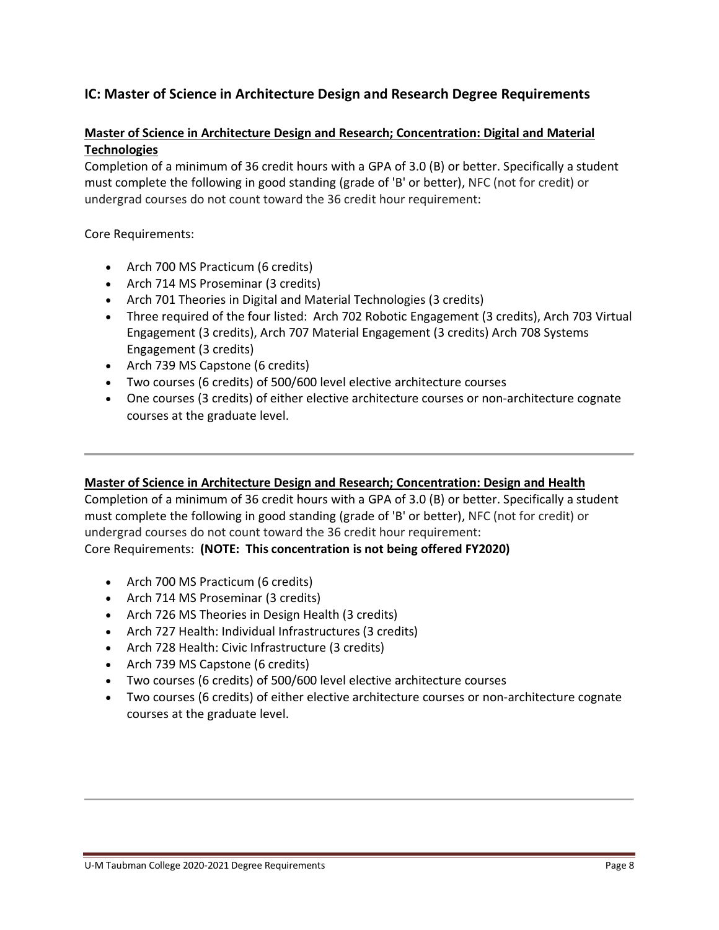## **IC: Master of Science in Architecture Design and Research Degree Requirements**

## **Master of Science in Architecture Design and Research; Concentration: Digital and Material Technologies**

Completion of a minimum of 36 credit hours with a GPA of 3.0 (B) or better. Specifically a student must complete the following in good standing (grade of 'B' or better), NFC (not for credit) or undergrad courses do not count toward the 36 credit hour requirement:

Core Requirements:

- Arch 700 MS Practicum (6 credits)
- Arch 714 MS Proseminar (3 credits)
- Arch 701 Theories in Digital and Material Technologies (3 credits)
- Three required of the four listed: Arch 702 Robotic Engagement (3 credits), Arch 703 Virtual Engagement (3 credits), Arch 707 Material Engagement (3 credits) Arch 708 Systems Engagement (3 credits)
- Arch 739 MS Capstone (6 credits)
- Two courses (6 credits) of 500/600 level elective architecture courses
- One courses (3 credits) of either elective architecture courses or non-architecture cognate courses at the graduate level.

#### **Master of Science in Architecture Design and Research; Concentration: Design and Health**

Completion of a minimum of 36 credit hours with a GPA of 3.0 (B) or better. Specifically a student must complete the following in good standing (grade of 'B' or better), NFC (not for credit) or undergrad courses do not count toward the 36 credit hour requirement: Core Requirements: **(NOTE: This concentration is not being offered FY2020)**

- Arch 700 MS Practicum (6 credits)
- Arch 714 MS Proseminar (3 credits)
- Arch 726 MS Theories in Design Health (3 credits)
- Arch 727 Health: Individual Infrastructures (3 credits)
- Arch 728 Health: Civic Infrastructure (3 credits)
- Arch 739 MS Capstone (6 credits)
- Two courses (6 credits) of 500/600 level elective architecture courses
- Two courses (6 credits) of either elective architecture courses or non-architecture cognate courses at the graduate level.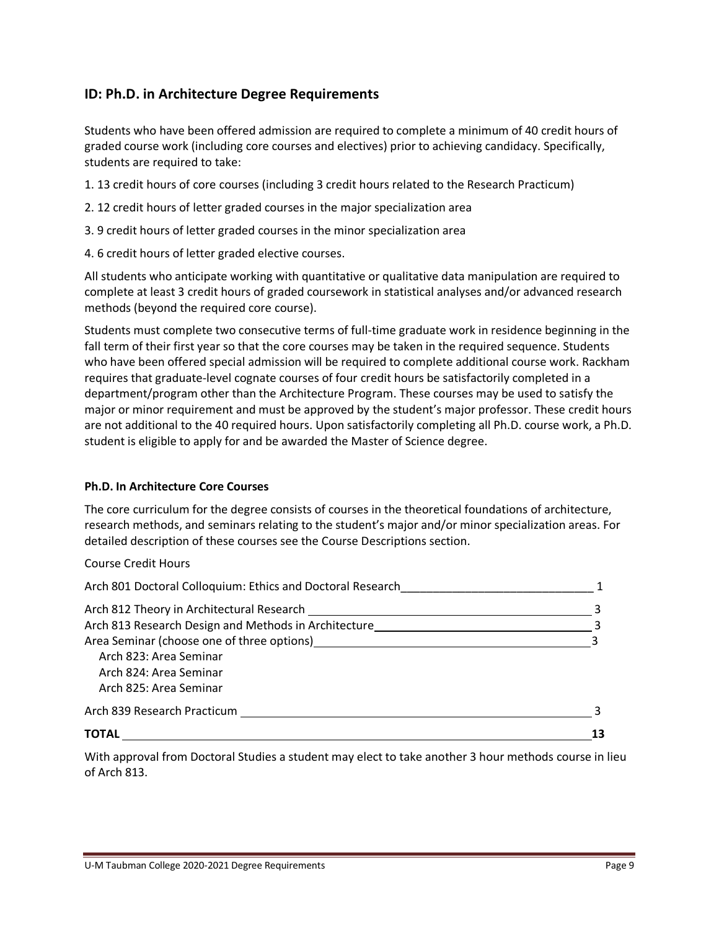## **ID: Ph.D. in Architecture Degree Requirements**

Students who have been offered admission are required to complete a minimum of 40 credit hours of graded course work (including core courses and electives) prior to achieving candidacy. Specifically, students are required to take:

- 1. 13 credit hours of core courses (including 3 credit hours related to the Research Practicum)
- 2. 12 credit hours of letter graded courses in the major specialization area
- 3. 9 credit hours of letter graded courses in the minor specialization area
- 4. 6 credit hours of letter graded elective courses.

All students who anticipate working with quantitative or qualitative data manipulation are required to complete at least 3 credit hours of graded coursework in statistical analyses and/or advanced research methods (beyond the required core course).

Students must complete two consecutive terms of full-time graduate work in residence beginning in the fall term of their first year so that the core courses may be taken in the required sequence. Students who have been offered special admission will be required to complete additional course work. Rackham requires that graduate-level cognate courses of four credit hours be satisfactorily completed in a department/program other than the Architecture Program. These courses may be used to satisfy the major or minor requirement and must be approved by the student's major professor. These credit hours are not additional to the 40 required hours. Upon satisfactorily completing all Ph.D. course work, a Ph.D. student is eligible to apply for and be awarded the Master of Science degree.

#### **Ph.D. In Architecture Core Courses**

The core curriculum for the degree consists of courses in the theoretical foundations of architecture, research methods, and seminars relating to the student's major and/or minor specialization areas. For detailed description of these courses see the Course Descriptions section.

Course Credit Hours

| Arch 801 Doctoral Colloquium: Ethics and Doctoral Research                                                                                                                                                                             |  |
|----------------------------------------------------------------------------------------------------------------------------------------------------------------------------------------------------------------------------------------|--|
| Arch 812 Theory in Architectural Research ____                                                                                                                                                                                         |  |
| Arch 813 Research Design and Methods in Architecture                                                                                                                                                                                   |  |
| Area Seminar (choose one of three options)<br><u>Letter and the contract of the contract of the contract of the contract of the contract of the contract of the contract of the contract of the contract of the contract of the co</u> |  |
| Arch 823: Area Seminar                                                                                                                                                                                                                 |  |
| Arch 824: Area Seminar                                                                                                                                                                                                                 |  |
| Arch 825: Area Seminar                                                                                                                                                                                                                 |  |
| Arch 839 Research Practicum and the control of the control of the control of the control of the control of the                                                                                                                         |  |
| <b>TOTAL</b>                                                                                                                                                                                                                           |  |

With approval from Doctoral Studies a student may elect to take another 3 hour methods course in lieu of Arch 813.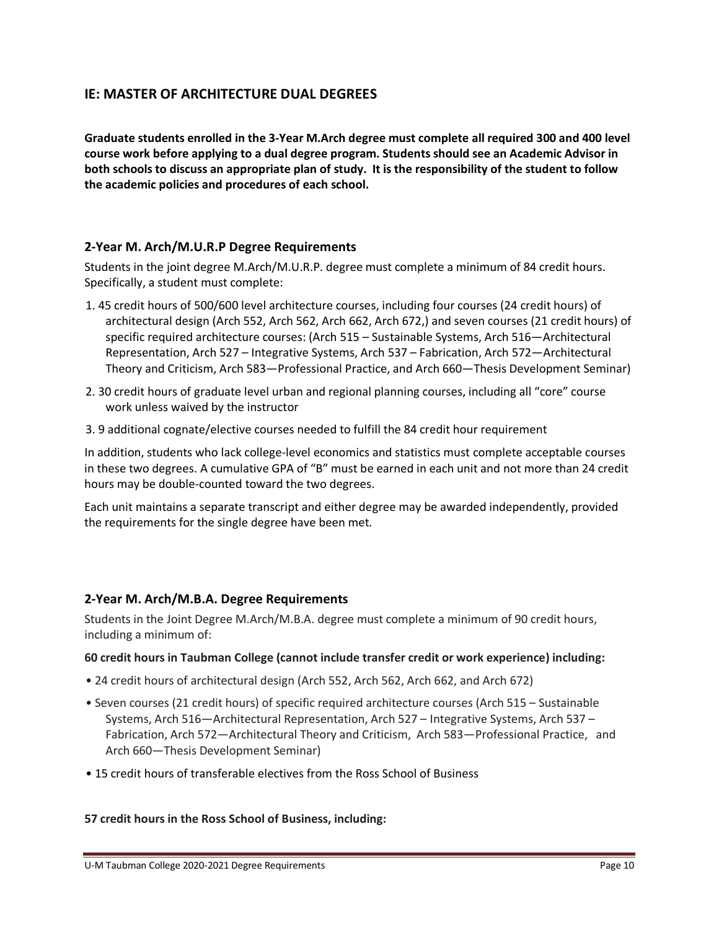## **IE: MASTER OF ARCHITECTURE DUAL DEGREES**

**Graduate students enrolled in the 3-Year M.Arch degree must complete all required 300 and 400 level course work before applying to a dual degree program. Students should see an Academic Advisor in both schools to discuss an appropriate plan of study. It is the responsibility of the student to follow the academic policies and procedures of each school.**

### **2-Year M. Arch/M.U.R.P Degree Requirements**

Students in the joint degree M.Arch/M.U.R.P. degree must complete a minimum of 84 credit hours. Specifically, a student must complete:

- 1. 45 credit hours of 500/600 level architecture courses, including four courses (24 credit hours) of architectural design (Arch 552, Arch 562, Arch 662, Arch 672,) and seven courses (21 credit hours) of specific required architecture courses: (Arch 515 – Sustainable Systems, Arch 516—Architectural Representation, Arch 527 – Integrative Systems, Arch 537 – Fabrication, Arch 572—Architectural Theory and Criticism, Arch 583—Professional Practice, and Arch 660—Thesis Development Seminar)
- 2. 30 credit hours of graduate level urban and regional planning courses, including all "core" course work unless waived by the instructor
- 3. 9 additional cognate/elective courses needed to fulfill the 84 credit hour requirement

In addition, students who lack college-level economics and statistics must complete acceptable courses in these two degrees. A cumulative GPA of "B" must be earned in each unit and not more than 24 credit hours may be double-counted toward the two degrees.

Each unit maintains a separate transcript and either degree may be awarded independently, provided the requirements for the single degree have been met.

#### **2-Year M. Arch/M.B.A. Degree Requirements**

Students in the Joint Degree M.Arch/M.B.A. degree must complete a minimum of 90 credit hours, including a minimum of:

#### **60 credit hours in Taubman College (cannot include transfer credit or work experience) including:**

- 24 credit hours of architectural design (Arch 552, Arch 562, Arch 662, and Arch 672)
- Seven courses (21 credit hours) of specific required architecture courses (Arch 515 Sustainable Systems, Arch 516—Architectural Representation, Arch 527 – Integrative Systems, Arch 537 – Fabrication, Arch 572—Architectural Theory and Criticism, Arch 583—Professional Practice, and Arch 660—Thesis Development Seminar)
- 15 credit hours of transferable electives from the Ross School of Business

#### **57 credit hours in the Ross School of Business, including:**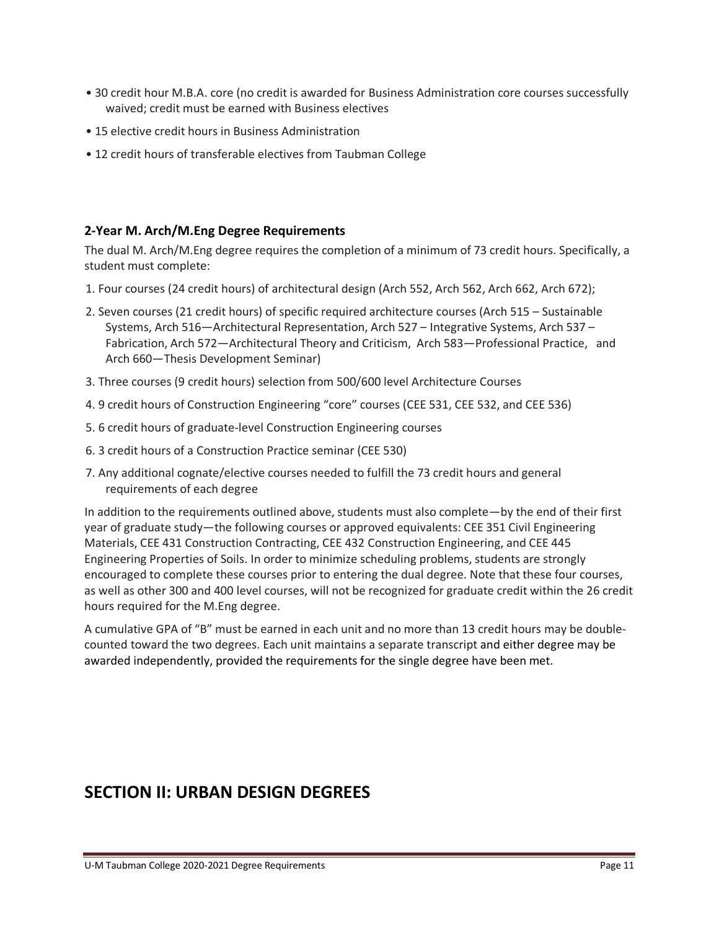- 30 credit hour M.B.A. core (no credit is awarded for Business Administration core courses successfully waived; credit must be earned with Business electives
- 15 elective credit hours in Business Administration
- 12 credit hours of transferable electives from Taubman College

#### **2-Year M. Arch/M.Eng Degree Requirements**

The dual M. Arch/M.Eng degree requires the completion of a minimum of 73 credit hours. Specifically, a student must complete:

- 1. Four courses (24 credit hours) of architectural design (Arch 552, Arch 562, Arch 662, Arch 672);
- 2. Seven courses (21 credit hours) of specific required architecture courses (Arch 515 Sustainable Systems, Arch 516—Architectural Representation, Arch 527 – Integrative Systems, Arch 537 – Fabrication, Arch 572—Architectural Theory and Criticism, Arch 583—Professional Practice, and Arch 660—Thesis Development Seminar)
- 3. Three courses (9 credit hours) selection from 500/600 level Architecture Courses
- 4. 9 credit hours of Construction Engineering "core" courses (CEE 531, CEE 532, and CEE 536)
- 5. 6 credit hours of graduate-level Construction Engineering courses
- 6. 3 credit hours of a Construction Practice seminar (CEE 530)
- 7. Any additional cognate/elective courses needed to fulfill the 73 credit hours and general requirements of each degree

In addition to the requirements outlined above, students must also complete—by the end of their first year of graduate study—the following courses or approved equivalents: CEE 351 Civil Engineering Materials, CEE 431 Construction Contracting, CEE 432 Construction Engineering, and CEE 445 Engineering Properties of Soils. In order to minimize scheduling problems, students are strongly encouraged to complete these courses prior to entering the dual degree. Note that these four courses, as well as other 300 and 400 level courses, will not be recognized for graduate credit within the 26 credit hours required for the M.Eng degree.

A cumulative GPA of "B" must be earned in each unit and no more than 13 credit hours may be doublecounted toward the two degrees. Each unit maintains a separate transcript and either degree may be awarded independently, provided the requirements for the single degree have been met.

# **SECTION II: URBAN DESIGN DEGREES**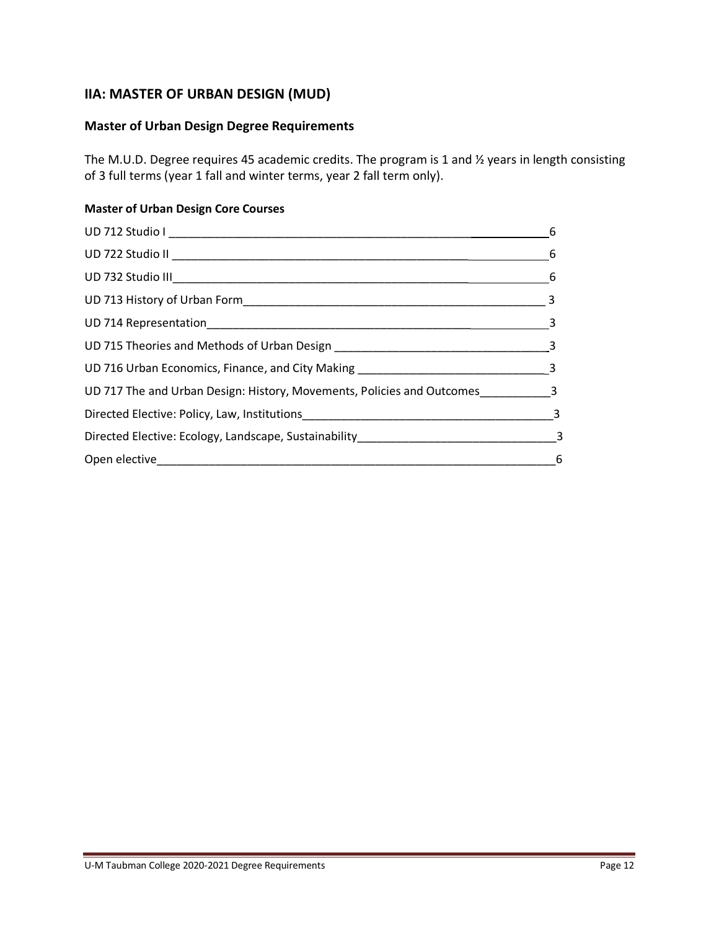## **IIA: MASTER OF URBAN DESIGN (MUD)**

## **Master of Urban Design Degree Requirements**

The M.U.D. Degree requires 45 academic credits. The program is 1 and ½ years in length consisting of 3 full terms (year 1 fall and winter terms, year 2 fall term only).

## **Master of Urban Design Core Courses**

| UD 716 Urban Economics, Finance, and City Making ________________________________3 |  |
|------------------------------------------------------------------------------------|--|
| UD 717 The and Urban Design: History, Movements, Policies and Outcomes___________3 |  |
|                                                                                    |  |
|                                                                                    |  |
|                                                                                    |  |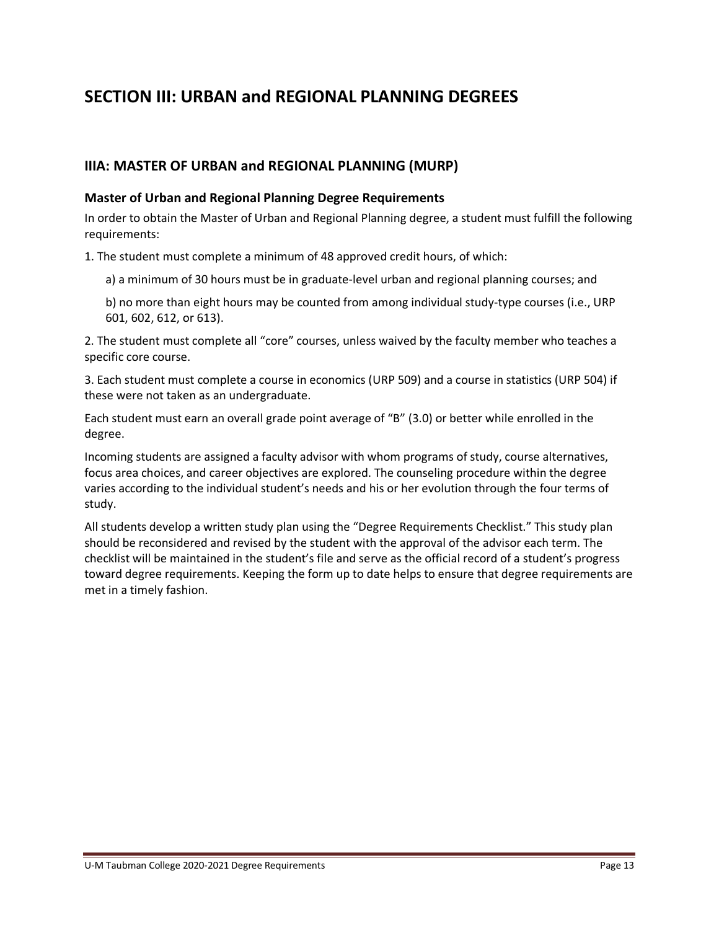# **SECTION III: URBAN and REGIONAL PLANNING DEGREES**

## **IIIA: MASTER OF URBAN and REGIONAL PLANNING (MURP)**

#### **Master of Urban and Regional Planning Degree Requirements**

In order to obtain the Master of Urban and Regional Planning degree, a student must fulfill the following requirements:

1. The student must complete a minimum of 48 approved credit hours, of which:

- a) a minimum of 30 hours must be in graduate-level urban and regional planning courses; and
- b) no more than eight hours may be counted from among individual study-type courses (i.e., URP 601, 602, 612, or 613).

2. The student must complete all "core" courses, unless waived by the faculty member who teaches a specific core course.

3. Each student must complete a course in economics (URP 509) and a course in statistics (URP 504) if these were not taken as an undergraduate.

Each student must earn an overall grade point average of "B" (3.0) or better while enrolled in the degree.

Incoming students are assigned a faculty advisor with whom programs of study, course alternatives, focus area choices, and career objectives are explored. The counseling procedure within the degree varies according to the individual student's needs and his or her evolution through the four terms of study.

All students develop a written study plan using the "Degree Requirements Checklist." This study plan should be reconsidered and revised by the student with the approval of the advisor each term. The checklist will be maintained in the student's file and serve as the official record of a student's progress toward degree requirements. Keeping the form up to date helps to ensure that degree requirements are met in a timely fashion.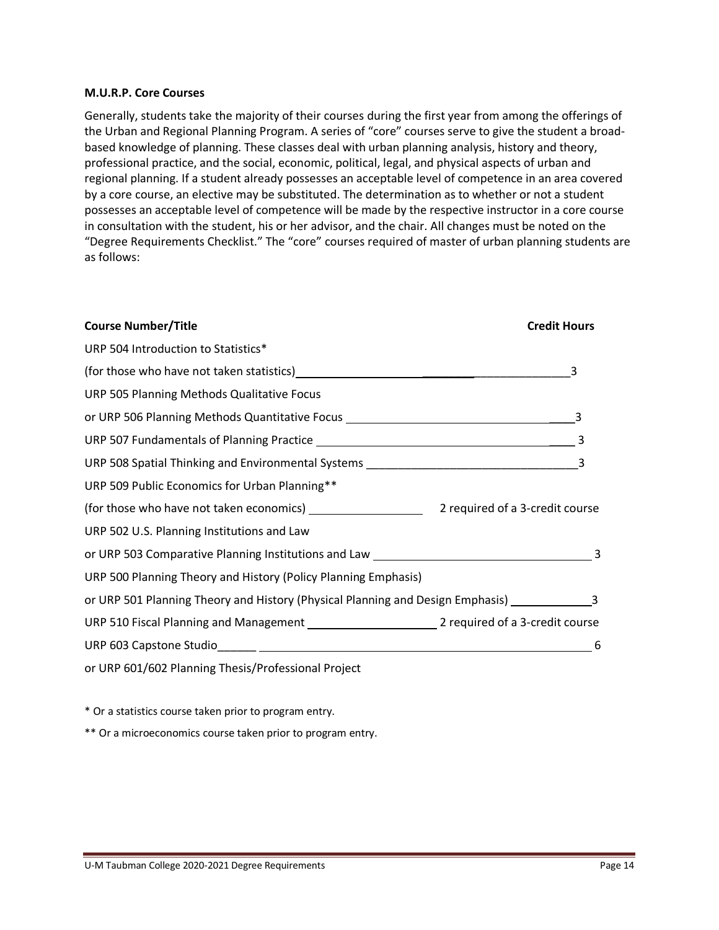#### **M.U.R.P. Core Courses**

Generally, students take the majority of their courses during the first year from among the offerings of the Urban and Regional Planning Program. A series of "core" courses serve to give the student a broadbased knowledge of planning. These classes deal with urban planning analysis, history and theory, professional practice, and the social, economic, political, legal, and physical aspects of urban and regional planning. If a student already possesses an acceptable level of competence in an area covered by a core course, an elective may be substituted. The determination as to whether or not a student possesses an acceptable level of competence will be made by the respective instructor in a core course in consultation with the student, his or her advisor, and the chair. All changes must be noted on the "Degree Requirements Checklist." The "core" courses required of master of urban planning students are as follows:

| <b>Course Number/Title</b>                                                                           | <b>Credit Hours</b> |
|------------------------------------------------------------------------------------------------------|---------------------|
| URP 504 Introduction to Statistics*                                                                  |                     |
|                                                                                                      |                     |
| URP 505 Planning Methods Qualitative Focus                                                           |                     |
| or URP 506 Planning Methods Quantitative Focus _________________________________                     |                     |
|                                                                                                      |                     |
|                                                                                                      |                     |
| URP 509 Public Economics for Urban Planning**                                                        |                     |
|                                                                                                      |                     |
| URP 502 U.S. Planning Institutions and Law                                                           |                     |
|                                                                                                      |                     |
| URP 500 Planning Theory and History (Policy Planning Emphasis)                                       |                     |
| or URP 501 Planning Theory and History (Physical Planning and Design Emphasis) ____________________3 |                     |
|                                                                                                      |                     |
|                                                                                                      | 6                   |
| or URP 601/602 Planning Thesis/Professional Project                                                  |                     |

\* Or a statistics course taken prior to program entry.

\*\* Or a microeconomics course taken prior to program entry.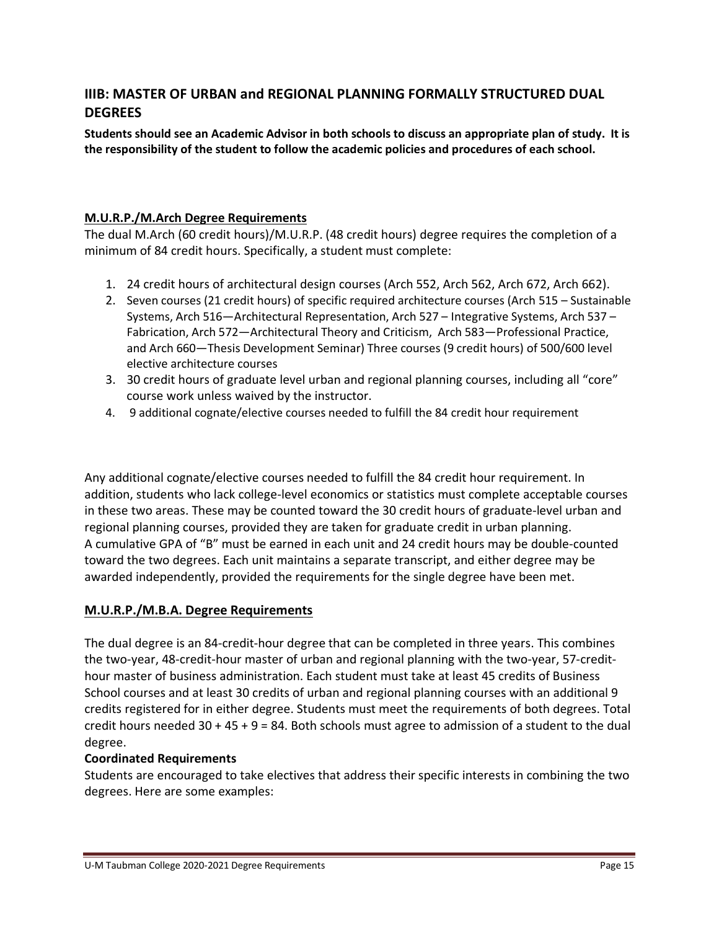## **IIIB: MASTER OF URBAN and REGIONAL PLANNING FORMALLY STRUCTURED DUAL DEGREES**

**Students should see an Academic Advisor in both schools to discuss an appropriate plan of study. It is the responsibility of the student to follow the academic policies and procedures of each school.**

## **M.U.R.P./M.Arch Degree Requirements**

The dual M.Arch (60 credit hours)/M.U.R.P. (48 credit hours) degree requires the completion of a minimum of 84 credit hours. Specifically, a student must complete:

- 1. 24 credit hours of architectural design courses (Arch 552, Arch 562, Arch 672, Arch 662).
- 2. Seven courses (21 credit hours) of specific required architecture courses (Arch 515 Sustainable Systems, Arch 516—Architectural Representation, Arch 527 – Integrative Systems, Arch 537 – Fabrication, Arch 572—Architectural Theory and Criticism, Arch 583—Professional Practice, and Arch 660—Thesis Development Seminar) Three courses (9 credit hours) of 500/600 level elective architecture courses
- 3. 30 credit hours of graduate level urban and regional planning courses, including all "core" course work unless waived by the instructor.
- 4. 9 additional cognate/elective courses needed to fulfill the 84 credit hour requirement

Any additional cognate/elective courses needed to fulfill the 84 credit hour requirement. In addition, students who lack college-level economics or statistics must complete acceptable courses in these two areas. These may be counted toward the 30 credit hours of graduate-level urban and regional planning courses, provided they are taken for graduate credit in urban planning. A cumulative GPA of "B" must be earned in each unit and 24 credit hours may be double-counted toward the two degrees. Each unit maintains a separate transcript, and either degree may be awarded independently, provided the requirements for the single degree have been met.

## **M.U.R.P./M.B.A. Degree Requirements**

The dual degree is an 84-credit-hour degree that can be completed in three years. This combines the two-year, 48-credit-hour master of urban and regional planning with the two-year, 57-credithour master of business administration. Each student must take at least 45 credits of Business School courses and at least 30 credits of urban and regional planning courses with an additional 9 credits registered for in either degree. Students must meet the requirements of both degrees. Total credit hours needed  $30 + 45 + 9 = 84$ . Both schools must agree to admission of a student to the dual degree.

## **Coordinated Requirements**

Students are encouraged to take electives that address their specific interests in combining the two degrees. Here are some examples: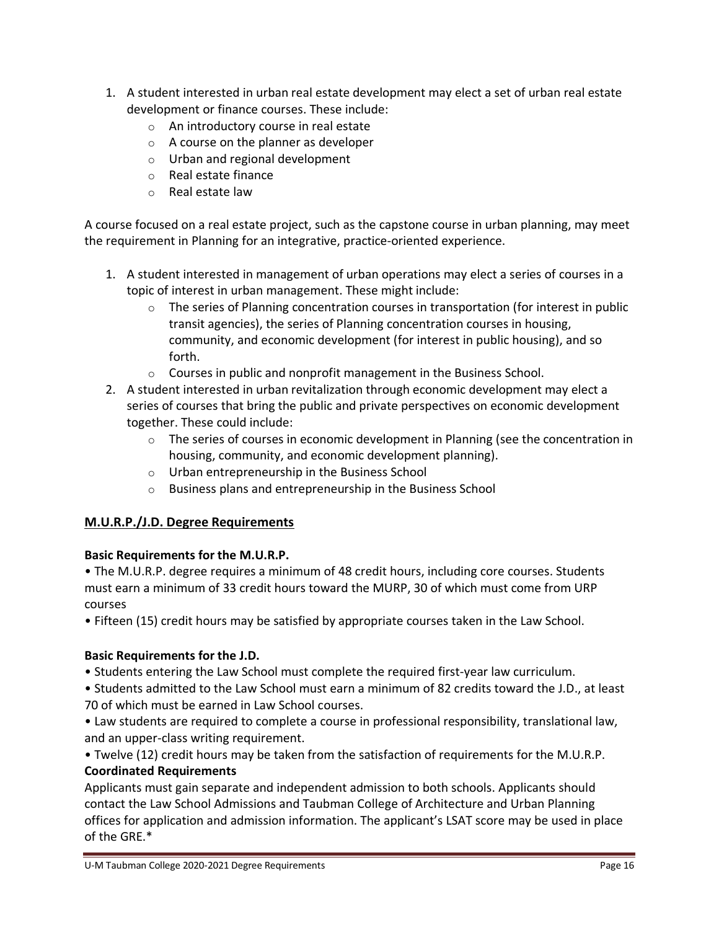- 1. A student interested in urban real estate development may elect a set of urban real estate development or finance courses. These include:
	- o An introductory course in real estate
	- o A course on the planner as developer
	- o Urban and regional development
	- o Real estate finance
	- o Real estate law

A course focused on a real estate project, such as the capstone course in urban planning, may meet the requirement in Planning for an integrative, practice-oriented experience.

- 1. A student interested in management of urban operations may elect a series of courses in a topic of interest in urban management. These might include:
	- $\circ$  The series of Planning concentration courses in transportation (for interest in public transit agencies), the series of Planning concentration courses in housing, community, and economic development (for interest in public housing), and so forth.
	- o Courses in public and nonprofit management in the Business School.
- 2. A student interested in urban revitalization through economic development may elect a series of courses that bring the public and private perspectives on economic development together. These could include:
	- $\circ$  The series of courses in economic development in Planning (see the concentration in housing, community, and economic development planning).
	- o Urban entrepreneurship in the Business School
	- o Business plans and entrepreneurship in the Business School

## **M.U.R.P./J.D. Degree Requirements**

## **Basic Requirements for the M.U.R.P.**

• The M.U.R.P. degree requires a minimum of 48 credit hours, including core courses. Students must earn a minimum of 33 credit hours toward the MURP, 30 of which must come from URP courses

• Fifteen (15) credit hours may be satisfied by appropriate courses taken in the Law School.

## **Basic Requirements for the J.D.**

• Students entering the Law School must complete the required first-year law curriculum.

• Students admitted to the Law School must earn a minimum of 82 credits toward the J.D., at least 70 of which must be earned in Law School courses.

• Law students are required to complete a course in professional responsibility, translational law, and an upper-class writing requirement.

• Twelve (12) credit hours may be taken from the satisfaction of requirements for the M.U.R.P. **Coordinated Requirements**

Applicants must gain separate and independent admission to both schools. Applicants should contact the Law School Admissions and Taubman College of Architecture and Urban Planning offices for application and admission information. The applicant's LSAT score may be used in place of the GRE.\*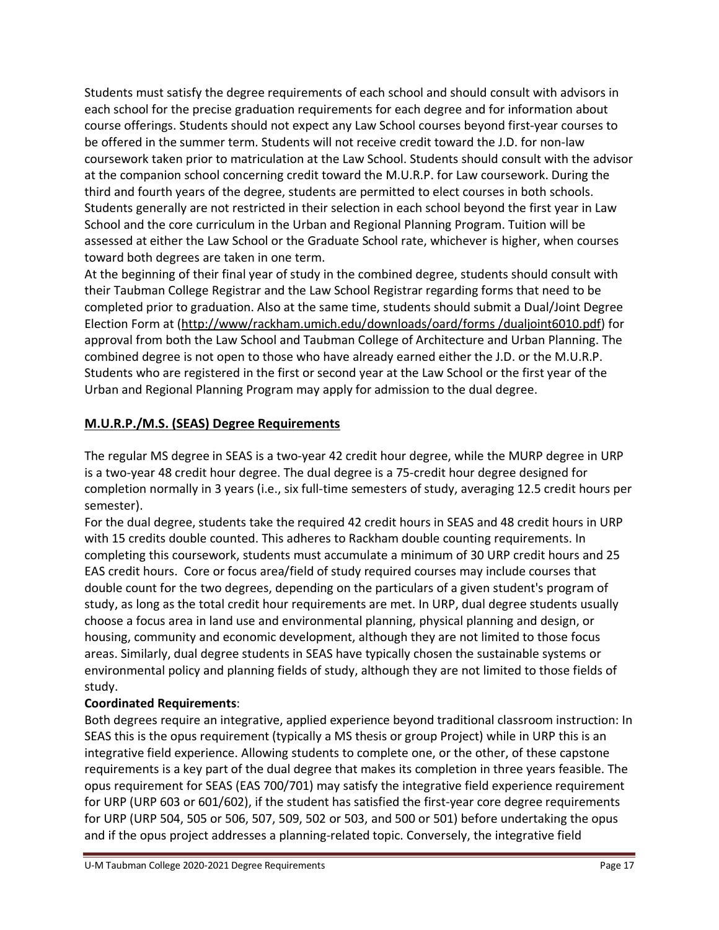Students must satisfy the degree requirements of each school and should consult with advisors in each school for the precise graduation requirements for each degree and for information about course offerings. Students should not expect any Law School courses beyond first-year courses to be offered in the summer term. Students will not receive credit toward the J.D. for non-law coursework taken prior to matriculation at the Law School. Students should consult with the advisor at the companion school concerning credit toward the M.U.R.P. for Law coursework. During the third and fourth years of the degree, students are permitted to elect courses in both schools. Students generally are not restricted in their selection in each school beyond the first year in Law School and the core curriculum in the Urban and Regional Planning Program. Tuition will be assessed at either the Law School or the Graduate School rate, whichever is higher, when courses toward both degrees are taken in one term.

At the beginning of their final year of study in the combined degree, students should consult with their Taubman College Registrar and the Law School Registrar regarding forms that need to be completed prior to graduation. Also at the same time, students should submit a Dual/Joint Degree Election Form at [\(http://www/rackham.umich.edu/downloads/oard/forms /dualjoint6010.pdf\)](http://dualjoint6010.pdf/) for approval from both the Law School and Taubman College of Architecture and Urban Planning. The combined degree is not open to those who have already earned either the J.D. or the M.U.R.P. Students who are registered in the first or second year at the Law School or the first year of the Urban and Regional Planning Program may apply for admission to the dual degree.

## **M.U.R.P./M.S. (SEAS) Degree Requirements**

The regular MS degree in SEAS is a two-year 42 credit hour degree, while the MURP degree in URP is a two-year 48 credit hour degree. The dual degree is a 75-credit hour degree designed for completion normally in 3 years (i.e., six full-time semesters of study, averaging 12.5 credit hours per semester).

For the dual degree, students take the required 42 credit hours in SEAS and 48 credit hours in URP with 15 credits double counted. This adheres to Rackham double counting requirements. In completing this coursework, students must accumulate a minimum of 30 URP credit hours and 25 EAS credit hours. Core or focus area/field of study required courses may include courses that double count for the two degrees, depending on the particulars of a given student's program of study, as long as the total credit hour requirements are met. In URP, dual degree students usually choose a focus area in land use and environmental planning, physical planning and design, or housing, community and economic development, although they are not limited to those focus areas. Similarly, dual degree students in SEAS have typically chosen the sustainable systems or environmental policy and planning fields of study, although they are not limited to those fields of study.

## **Coordinated Requirements**:

Both degrees require an integrative, applied experience beyond traditional classroom instruction: In SEAS this is the opus requirement (typically a MS thesis or group Project) while in URP this is an integrative field experience. Allowing students to complete one, or the other, of these capstone requirements is a key part of the dual degree that makes its completion in three years feasible. The opus requirement for SEAS (EAS 700/701) may satisfy the integrative field experience requirement for URP (URP 603 or 601/602), if the student has satisfied the first-year core degree requirements for URP (URP 504, 505 or 506, 507, 509, 502 or 503, and 500 or 501) before undertaking the opus and if the opus project addresses a planning-related topic. Conversely, the integrative field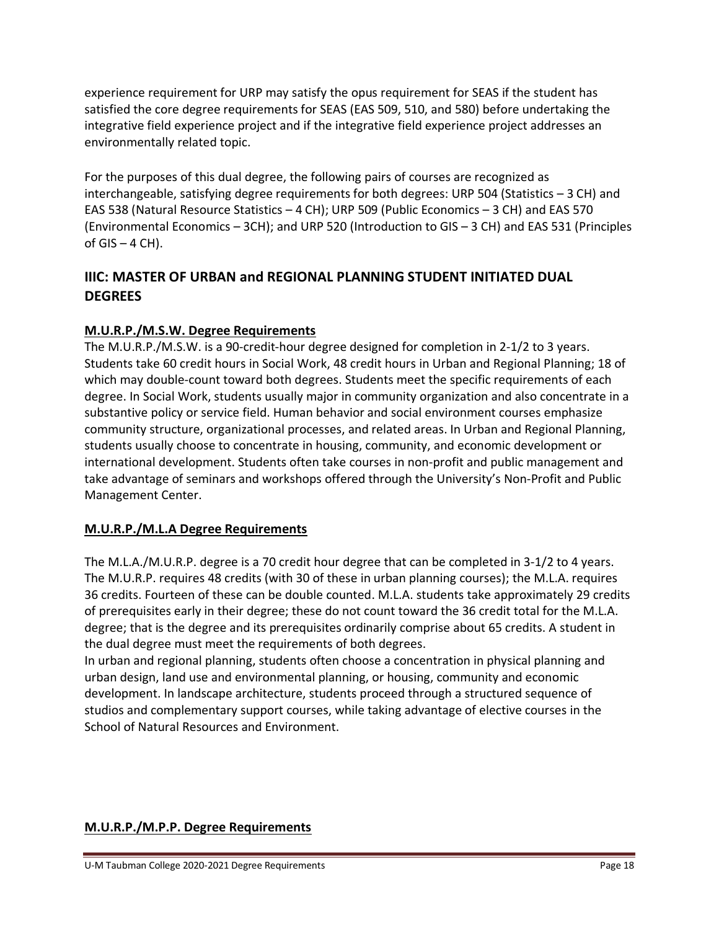experience requirement for URP may satisfy the opus requirement for SEAS if the student has satisfied the core degree requirements for SEAS (EAS 509, 510, and 580) before undertaking the integrative field experience project and if the integrative field experience project addresses an environmentally related topic.

For the purposes of this dual degree, the following pairs of courses are recognized as interchangeable, satisfying degree requirements for both degrees: URP 504 (Statistics – 3 CH) and EAS 538 (Natural Resource Statistics – 4 CH); URP 509 (Public Economics – 3 CH) and EAS 570 (Environmental Economics – 3CH); and URP 520 (Introduction to GIS – 3 CH) and EAS 531 (Principles of  $GIS - 4 CH$ ).

## **IIIC: MASTER OF URBAN and REGIONAL PLANNING STUDENT INITIATED DUAL DEGREES**

## **M.U.R.P./M.S.W. Degree Requirements**

The M.U.R.P./M.S.W. is a 90-credit-hour degree designed for completion in 2-1/2 to 3 years. Students take 60 credit hours in Social Work, 48 credit hours in Urban and Regional Planning; 18 of which may double-count toward both degrees. Students meet the specific requirements of each degree. In Social Work, students usually major in community organization and also concentrate in a substantive policy or service field. Human behavior and social environment courses emphasize community structure, organizational processes, and related areas. In Urban and Regional Planning, students usually choose to concentrate in housing, community, and economic development or international development. Students often take courses in non-profit and public management and take advantage of seminars and workshops offered through the University's Non-Profit and Public Management Center.

## **M.U.R.P./M.L.A Degree Requirements**

The M.L.A./M.U.R.P. degree is a 70 credit hour degree that can be completed in 3-1/2 to 4 years. The M.U.R.P. requires 48 credits (with 30 of these in urban planning courses); the M.L.A. requires 36 credits. Fourteen of these can be double counted. M.L.A. students take approximately 29 credits of prerequisites early in their degree; these do not count toward the 36 credit total for the M.L.A. degree; that is the degree and its prerequisites ordinarily comprise about 65 credits. A student in the dual degree must meet the requirements of both degrees.

In urban and regional planning, students often choose a concentration in physical planning and urban design, land use and environmental planning, or housing, community and economic development. In landscape architecture, students proceed through a structured sequence of studios and complementary support courses, while taking advantage of elective courses in the School of Natural Resources and Environment.

## **M.U.R.P./M.P.P. Degree Requirements**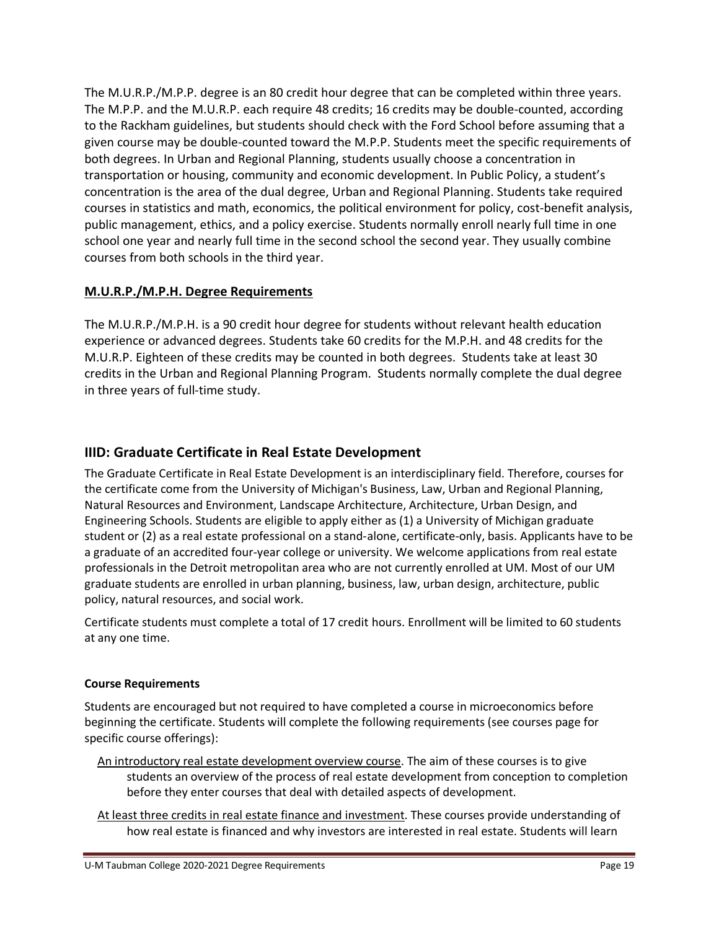The M.U.R.P./M.P.P. degree is an 80 credit hour degree that can be completed within three years. The M.P.P. and the M.U.R.P. each require 48 credits; 16 credits may be double-counted, according to the Rackham guidelines, but students should check with the Ford School before assuming that a given course may be double-counted toward the M.P.P. Students meet the specific requirements of both degrees. In Urban and Regional Planning, students usually choose a concentration in transportation or housing, community and economic development. In Public Policy, a student's concentration is the area of the dual degree, Urban and Regional Planning. Students take required courses in statistics and math, economics, the political environment for policy, cost-benefit analysis, public management, ethics, and a policy exercise. Students normally enroll nearly full time in one school one year and nearly full time in the second school the second year. They usually combine courses from both schools in the third year.

## **M.U.R.P./M.P.H. Degree Requirements**

The M.U.R.P./M.P.H. is a 90 credit hour degree for students without relevant health education experience or advanced degrees. Students take 60 credits for the M.P.H. and 48 credits for the M.U.R.P. Eighteen of these credits may be counted in both degrees. Students take at least 30 credits in the Urban and Regional Planning Program. Students normally complete the dual degree in three years of full-time study.

## **IIID: Graduate Certificate in Real Estate Development**

The Graduate Certificate in Real Estate Development is an interdisciplinary field. Therefore, courses for the certificate come from the University of Michigan's Business, Law, Urban and Regional Planning, Natural Resources and Environment, Landscape Architecture, Architecture, Urban Design, and Engineering Schools. Students are eligible to apply either as (1) a University of Michigan graduate student or (2) as a real estate professional on a stand-alone, certificate-only, basis. Applicants have to be a graduate of an accredited four-year college or university. We welcome applications from real estate professionals in the Detroit metropolitan area who are not currently enrolled at UM. Most of our UM graduate students are enrolled in urban planning, business, law, urban design, architecture, public policy, natural resources, and social work.

Certificate students must complete a total of 17 credit hours. Enrollment will be limited to 60 students at any one time.

## **Course Requirements**

Students are encouraged but not required to have completed a course in microeconomics before beginning the certificate. Students will complete the following requirements (see courses page for specific course offerings):

- An introductory real estate development overview course. The aim of these courses is to give students an overview of the process of real estate development from conception to completion before they enter courses that deal with detailed aspects of development.
- At least three credits in real estate finance and investment. These courses provide understanding of how real estate is financed and why investors are interested in real estate. Students will learn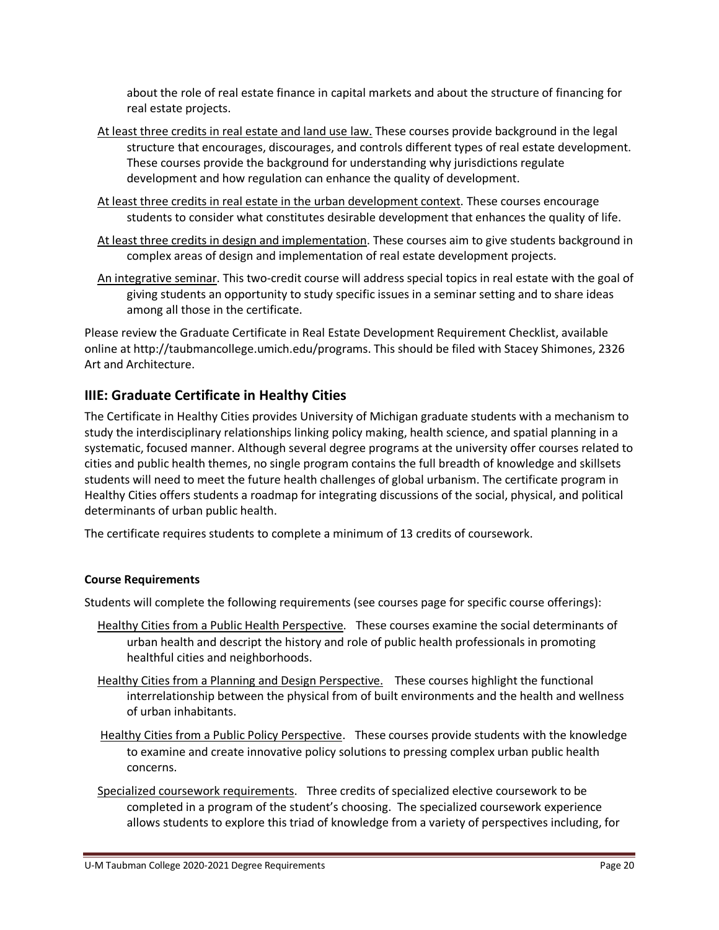about the role of real estate finance in capital markets and about the structure of financing for real estate projects.

- At least three credits in real estate and land use law. These courses provide background in the legal structure that encourages, discourages, and controls different types of real estate development. These courses provide the background for understanding why jurisdictions regulate development and how regulation can enhance the quality of development.
- At least three credits in real estate in the urban development context. These courses encourage students to consider what constitutes desirable development that enhances the quality of life.
- At least three credits in design and implementation. These courses aim to give students background in complex areas of design and implementation of real estate development projects.
- An integrative seminar. This two-credit course will address special topics in real estate with the goal of giving students an opportunity to study specific issues in a seminar setting and to share ideas among all those in the certificate.

Please review the Graduate Certificate in Real Estate Development Requirement Checklist, available online at http://taubmancollege.umich.edu/programs. This should be filed with Stacey Shimones, 2326 Art and Architecture.

## **IIIE: Graduate Certificate in Healthy Cities**

The Certificate in Healthy Cities provides University of Michigan graduate students with a mechanism to study the interdisciplinary relationships linking policy making, health science, and spatial planning in a systematic, focused manner. Although several degree programs at the university offer courses related to cities and public health themes, no single program contains the full breadth of knowledge and skillsets students will need to meet the future health challenges of global urbanism. The certificate program in Healthy Cities offers students a roadmap for integrating discussions of the social, physical, and political determinants of urban public health.

The certificate requires students to complete a minimum of 13 credits of coursework.

#### **Course Requirements**

Students will complete the following requirements (see courses page for specific course offerings):

- Healthy Cities from a Public Health Perspective. These courses examine the social determinants of urban health and descript the history and role of public health professionals in promoting healthful cities and neighborhoods.
- Healthy Cities from a Planning and Design Perspective. These courses highlight the functional interrelationship between the physical from of built environments and the health and wellness of urban inhabitants.
- Healthy Cities from a Public Policy Perspective. These courses provide students with the knowledge to examine and create innovative policy solutions to pressing complex urban public health concerns.
- Specialized coursework requirements. Three credits of specialized elective coursework to be completed in a program of the student's choosing. The specialized coursework experience allows students to explore this triad of knowledge from a variety of perspectives including, for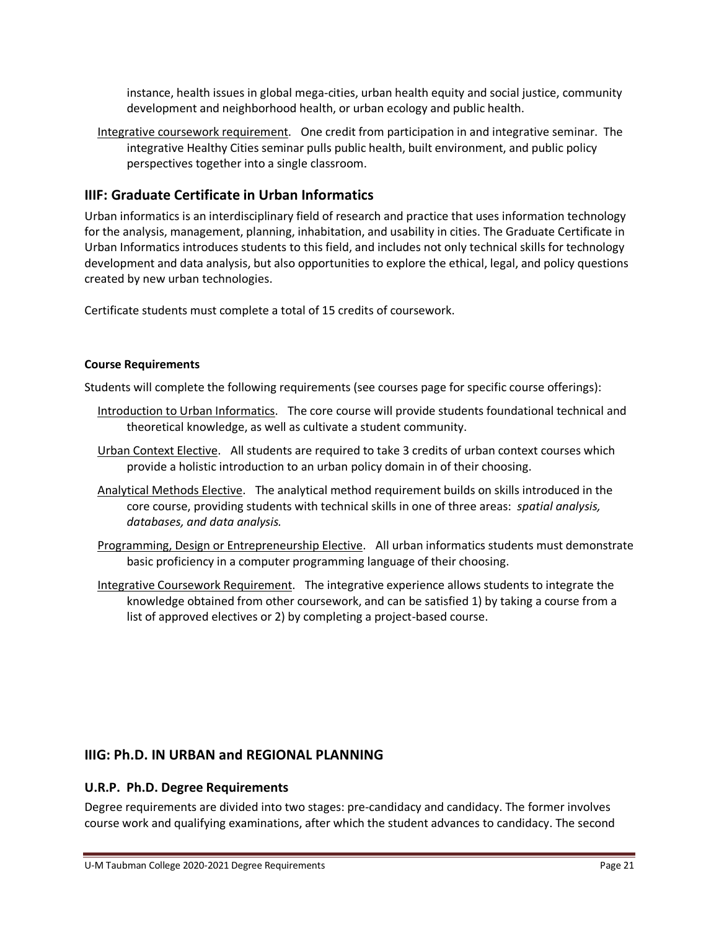instance, health issues in global mega-cities, urban health equity and social justice, community development and neighborhood health, or urban ecology and public health.

Integrative coursework requirement. One credit from participation in and integrative seminar. The integrative Healthy Cities seminar pulls public health, built environment, and public policy perspectives together into a single classroom.

## **IIIF: Graduate Certificate in Urban Informatics**

Urban informatics is an interdisciplinary field of research and practice that uses information technology for the analysis, management, planning, inhabitation, and usability in cities. The Graduate Certificate in Urban Informatics introduces students to this field, and includes not only technical skills for technology development and data analysis, but also opportunities to explore the ethical, legal, and policy questions created by new urban technologies.

Certificate students must complete a total of 15 credits of coursework.

#### **Course Requirements**

Students will complete the following requirements (see courses page for specific course offerings):

- Introduction to Urban Informatics. The core course will provide students foundational technical and theoretical knowledge, as well as cultivate a student community.
- Urban Context Elective. All students are required to take 3 credits of urban context courses which provide a holistic introduction to an urban policy domain in of their choosing.
- Analytical Methods Elective. The analytical method requirement builds on skills introduced in the core course, providing students with technical skills in one of three areas: *spatial analysis, databases, and data analysis.*
- Programming, Design or Entrepreneurship Elective. All urban informatics students must demonstrate basic proficiency in a computer programming language of their choosing.
- Integrative Coursework Requirement. The integrative experience allows students to integrate the knowledge obtained from other coursework, and can be satisfied 1) by taking a course from a list of approved electives or 2) by completing a project-based course.

## **IIIG: Ph.D. IN URBAN and REGIONAL PLANNING**

## **U.R.P. Ph.D. Degree Requirements**

Degree requirements are divided into two stages: pre-candidacy and candidacy. The former involves course work and qualifying examinations, after which the student advances to candidacy. The second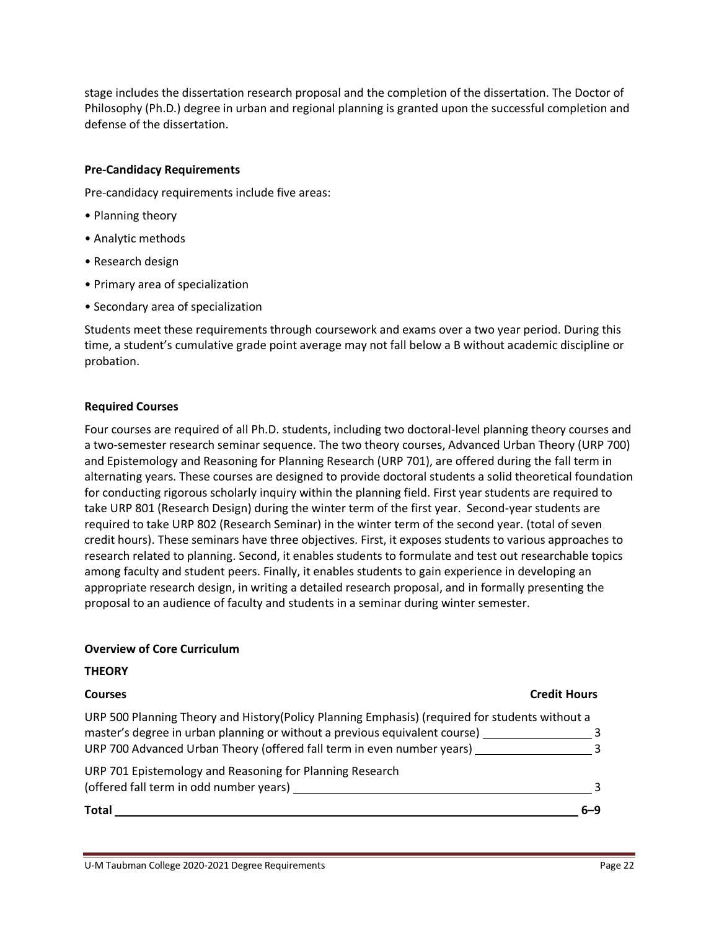stage includes the dissertation research proposal and the completion of the dissertation. The Doctor of Philosophy (Ph.D.) degree in urban and regional planning is granted upon the successful completion and defense of the dissertation.

#### **Pre-Candidacy Requirements**

Pre-candidacy requirements include five areas:

- Planning theory
- Analytic methods
- Research design
- Primary area of specialization
- Secondary area of specialization

Students meet these requirements through coursework and exams over a two year period. During this time, a student's cumulative grade point average may not fall below a B without academic discipline or probation.

#### **Required Courses**

Four courses are required of all Ph.D. students, including two doctoral-level planning theory courses and a two-semester research seminar sequence. The two theory courses, Advanced Urban Theory (URP 700) and Epistemology and Reasoning for Planning Research (URP 701), are offered during the fall term in alternating years. These courses are designed to provide doctoral students a solid theoretical foundation for conducting rigorous scholarly inquiry within the planning field. First year students are required to take URP 801 (Research Design) during the winter term of the first year. Second-year students are required to take URP 802 (Research Seminar) in the winter term of the second year. (total of seven credit hours). These seminars have three objectives. First, it exposes students to various approaches to research related to planning. Second, it enables students to formulate and test out researchable topics among faculty and student peers. Finally, it enables students to gain experience in developing an appropriate research design, in writing a detailed research proposal, and in formally presenting the proposal to an audience of faculty and students in a seminar during winter semester.

#### **Overview of Core Curriculum**

#### **THEORY**

#### **Courses Credit Hours**

| <b>Total</b>                                                                                        | հ–9 |
|-----------------------------------------------------------------------------------------------------|-----|
| URP 701 Epistemology and Reasoning for Planning Research<br>(offered fall term in odd number years) | 2   |
| URP 700 Advanced Urban Theory (offered fall term in even number years)                              |     |
| master's degree in urban planning or without a previous equivalent course)                          | ર   |
| URP 500 Planning Theory and History (Policy Planning Emphasis) (required for students without a     |     |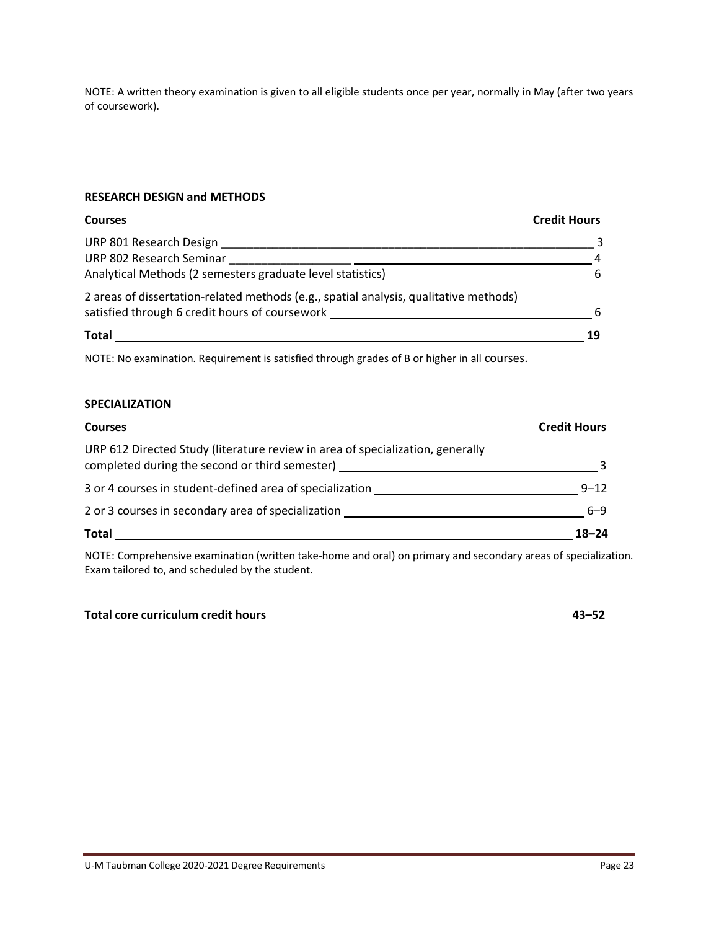NOTE: A written theory examination is given to all eligible students once per year, normally in May (after two years of coursework).

#### **RESEARCH DESIGN and METHODS**

#### **Courses Credit Hours**

| Total                                                                                                                                   | 19 |
|-----------------------------------------------------------------------------------------------------------------------------------------|----|
| 2 areas of dissertation-related methods (e.g., spatial analysis, qualitative methods)<br>satisfied through 6 credit hours of coursework | -6 |
| Analytical Methods (2 semesters graduate level statistics)                                                                              | -6 |
| URP 802 Research Seminar                                                                                                                | 4  |
| URP 801 Research Design                                                                                                                 |    |

NOTE: No examination. Requirement is satisfied through grades of B or higher in all courses.

#### **SPECIALIZATION**

| <b>Courses</b>                                                                                                                   | <b>Credit Hours</b> |
|----------------------------------------------------------------------------------------------------------------------------------|---------------------|
| URP 612 Directed Study (literature review in area of specialization, generally<br>completed during the second or third semester) |                     |
| 3 or 4 courses in student-defined area of specialization                                                                         | $9 - 12$            |
| 2 or 3 courses in secondary area of specialization                                                                               | $6 - 9$             |
| Total                                                                                                                            | $18 - 24$           |

NOTE: Comprehensive examination (written take-home and oral) on primary and secondary areas of specialization. Exam tailored to, and scheduled by the student.

| Total core curriculum credit hours | $43 - 52$ |
|------------------------------------|-----------|
|                                    |           |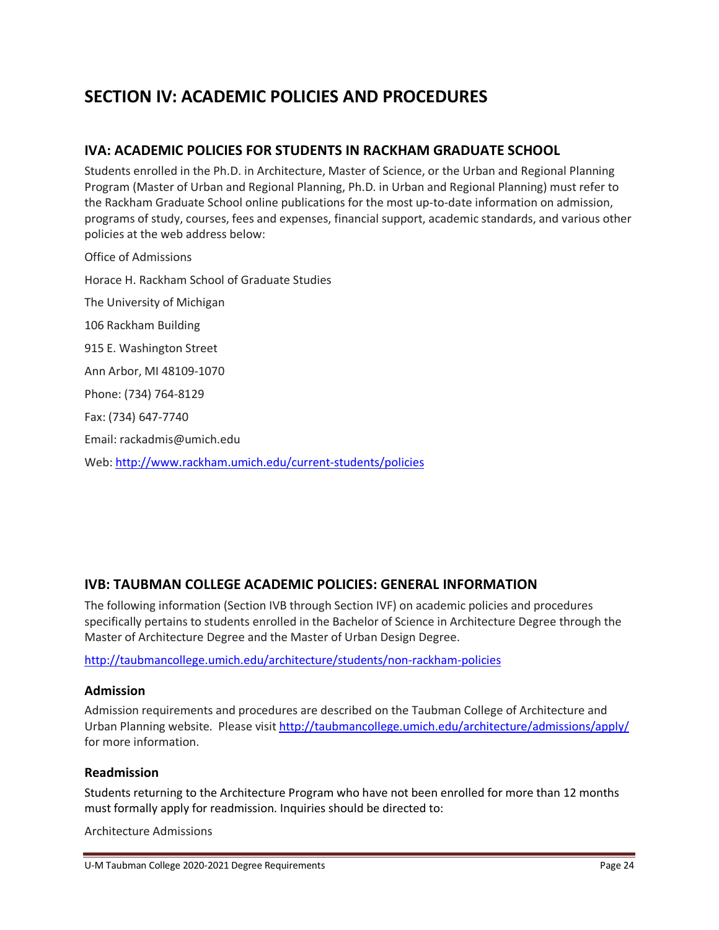# **SECTION IV: ACADEMIC POLICIES AND PROCEDURES**

## **IVA: ACADEMIC POLICIES FOR STUDENTS IN RACKHAM GRADUATE SCHOOL**

Students enrolled in the Ph.D. in Architecture, Master of Science, or the Urban and Regional Planning Program (Master of Urban and Regional Planning, Ph.D. in Urban and Regional Planning) must refer to the Rackham Graduate School online publications for the most up-to-date information on admission, programs of study, courses, fees and expenses, financial support, academic standards, and various other policies at the web address below:

Office of Admissions Horace H. Rackham School of Graduate Studies The University of Michigan 106 Rackham Building 915 E. Washington Street Ann Arbor, MI 48109-1070 Phone: (734) 764-8129 Fax: (734) 647-7740 Email: rackadmis@umich.edu Web[: http://www.rackham.umich.edu/current-students/policies](http://www.rackham.umich.edu/current-students/policies)

## **IVB: TAUBMAN COLLEGE ACADEMIC POLICIES: GENERAL INFORMATION**

The following information (Section IVB through Section IVF) on academic policies and procedures specifically pertains to students enrolled in the Bachelor of Science in Architecture Degree through the Master of Architecture Degree and the Master of Urban Design Degree.

<http://taubmancollege.umich.edu/architecture/students/non-rackham-policies>

#### **Admission**

Admission requirements and procedures are described on the Taubman College of Architecture and Urban Planning website. Please visit<http://taubmancollege.umich.edu/architecture/admissions/apply/> for more information.

#### **Readmission**

Students returning to the Architecture Program who have not been enrolled for more than 12 months must formally apply for readmission. Inquiries should be directed to:

Architecture Admissions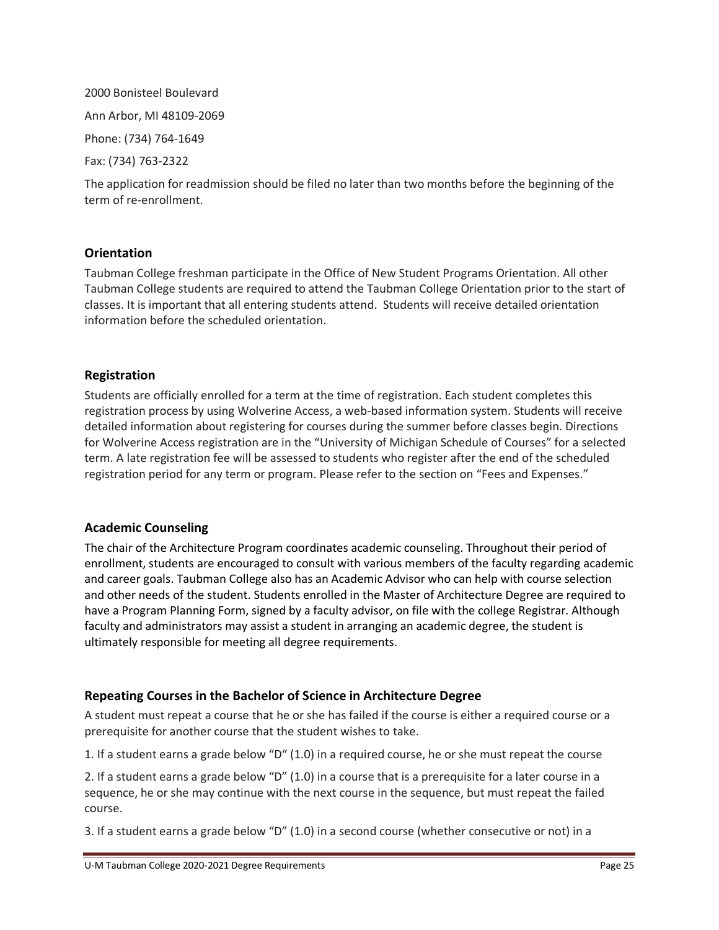2000 Bonisteel Boulevard Ann Arbor, MI 48109-2069 Phone: (734) 764-1649 Fax: (734) 763-2322

The application for readmission should be filed no later than two months before the beginning of the term of re-enrollment.

### **Orientation**

Taubman College freshman participate in the Office of New Student Programs Orientation. All other Taubman College students are required to attend the Taubman College Orientation prior to the start of classes. It is important that all entering students attend. Students will receive detailed orientation information before the scheduled orientation.

### **Registration**

Students are officially enrolled for a term at the time of registration. Each student completes this registration process by using Wolverine Access, a web-based information system. Students will receive detailed information about registering for courses during the summer before classes begin. Directions for Wolverine Access registration are in the "University of Michigan Schedule of Courses" for a selected term. A late registration fee will be assessed to students who register after the end of the scheduled registration period for any term or program. Please refer to the section on "Fees and Expenses."

#### **Academic Counseling**

The chair of the Architecture Program coordinates academic counseling. Throughout their period of enrollment, students are encouraged to consult with various members of the faculty regarding academic and career goals. Taubman College also has an Academic Advisor who can help with course selection and other needs of the student. Students enrolled in the Master of Architecture Degree are required to have a Program Planning Form, signed by a faculty advisor, on file with the college Registrar. Although faculty and administrators may assist a student in arranging an academic degree, the student is ultimately responsible for meeting all degree requirements.

## **Repeating Courses in the Bachelor of Science in Architecture Degree**

A student must repeat a course that he or she has failed if the course is either a required course or a prerequisite for another course that the student wishes to take.

1. If a student earns a grade below "D" (1.0) in a required course, he or she must repeat the course

2. If a student earns a grade below "D" (1.0) in a course that is a prerequisite for a later course in a sequence, he or she may continue with the next course in the sequence, but must repeat the failed course.

3. If a student earns a grade below "D" (1.0) in a second course (whether consecutive or not) in a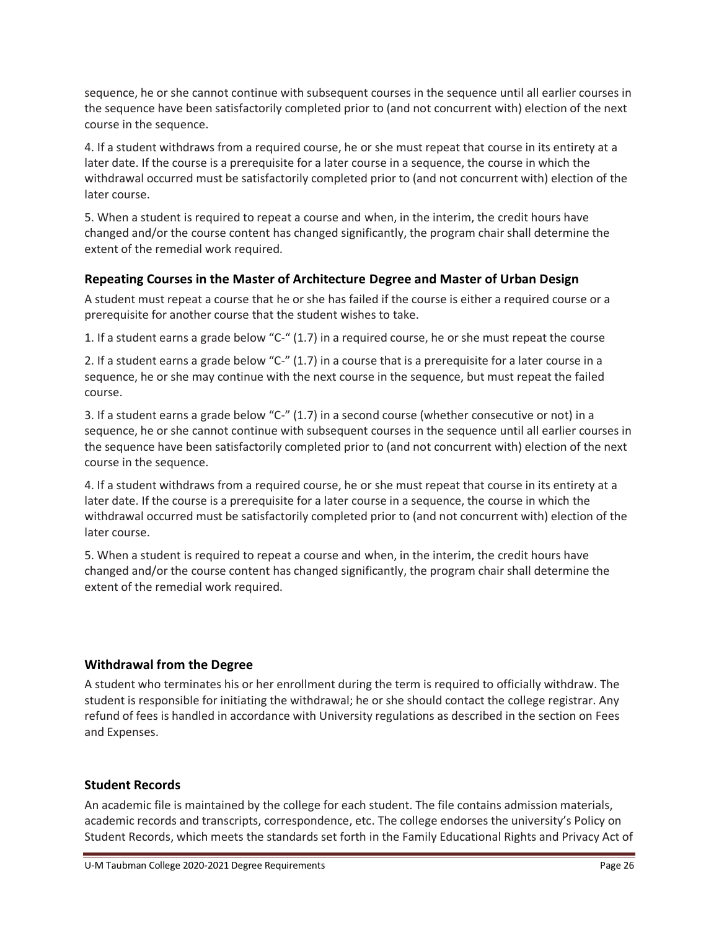sequence, he or she cannot continue with subsequent courses in the sequence until all earlier courses in the sequence have been satisfactorily completed prior to (and not concurrent with) election of the next course in the sequence.

4. If a student withdraws from a required course, he or she must repeat that course in its entirety at a later date. If the course is a prerequisite for a later course in a sequence, the course in which the withdrawal occurred must be satisfactorily completed prior to (and not concurrent with) election of the later course.

5. When a student is required to repeat a course and when, in the interim, the credit hours have changed and/or the course content has changed significantly, the program chair shall determine the extent of the remedial work required.

## **Repeating Courses in the Master of Architecture Degree and Master of Urban Design**

A student must repeat a course that he or she has failed if the course is either a required course or a prerequisite for another course that the student wishes to take.

1. If a student earns a grade below "C-" (1.7) in a required course, he or she must repeat the course

2. If a student earns a grade below "C-" (1.7) in a course that is a prerequisite for a later course in a sequence, he or she may continue with the next course in the sequence, but must repeat the failed course.

3. If a student earns a grade below "C-" (1.7) in a second course (whether consecutive or not) in a sequence, he or she cannot continue with subsequent courses in the sequence until all earlier courses in the sequence have been satisfactorily completed prior to (and not concurrent with) election of the next course in the sequence.

4. If a student withdraws from a required course, he or she must repeat that course in its entirety at a later date. If the course is a prerequisite for a later course in a sequence, the course in which the withdrawal occurred must be satisfactorily completed prior to (and not concurrent with) election of the later course.

5. When a student is required to repeat a course and when, in the interim, the credit hours have changed and/or the course content has changed significantly, the program chair shall determine the extent of the remedial work required.

## **Withdrawal from the Degree**

A student who terminates his or her enrollment during the term is required to officially withdraw. The student is responsible for initiating the withdrawal; he or she should contact the college registrar. Any refund of fees is handled in accordance with University regulations as described in the section on Fees and Expenses.

## **Student Records**

An academic file is maintained by the college for each student. The file contains admission materials, academic records and transcripts, correspondence, etc. The college endorses the university's Policy on Student Records, which meets the standards set forth in the Family Educational Rights and Privacy Act of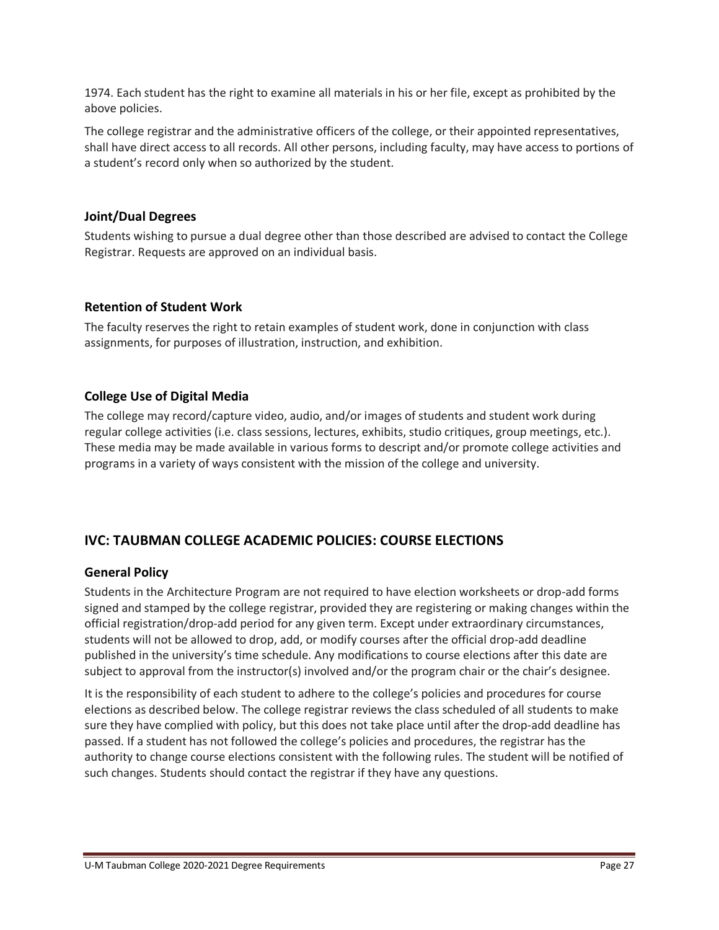1974. Each student has the right to examine all materials in his or her file, except as prohibited by the above policies.

The college registrar and the administrative officers of the college, or their appointed representatives, shall have direct access to all records. All other persons, including faculty, may have access to portions of a student's record only when so authorized by the student.

## **Joint/Dual Degrees**

Students wishing to pursue a dual degree other than those described are advised to contact the College Registrar. Requests are approved on an individual basis.

### **Retention of Student Work**

The faculty reserves the right to retain examples of student work, done in conjunction with class assignments, for purposes of illustration, instruction, and exhibition.

## **College Use of Digital Media**

The college may record/capture video, audio, and/or images of students and student work during regular college activities (i.e. class sessions, lectures, exhibits, studio critiques, group meetings, etc.). These media may be made available in various forms to descript and/or promote college activities and programs in a variety of ways consistent with the mission of the college and university.

## **IVC: TAUBMAN COLLEGE ACADEMIC POLICIES: COURSE ELECTIONS**

## **General Policy**

Students in the Architecture Program are not required to have election worksheets or drop-add forms signed and stamped by the college registrar, provided they are registering or making changes within the official registration/drop-add period for any given term. Except under extraordinary circumstances, students will not be allowed to drop, add, or modify courses after the official drop-add deadline published in the university's time schedule. Any modifications to course elections after this date are subject to approval from the instructor(s) involved and/or the program chair or the chair's designee.

It is the responsibility of each student to adhere to the college's policies and procedures for course elections as described below. The college registrar reviews the class scheduled of all students to make sure they have complied with policy, but this does not take place until after the drop-add deadline has passed. If a student has not followed the college's policies and procedures, the registrar has the authority to change course elections consistent with the following rules. The student will be notified of such changes. Students should contact the registrar if they have any questions.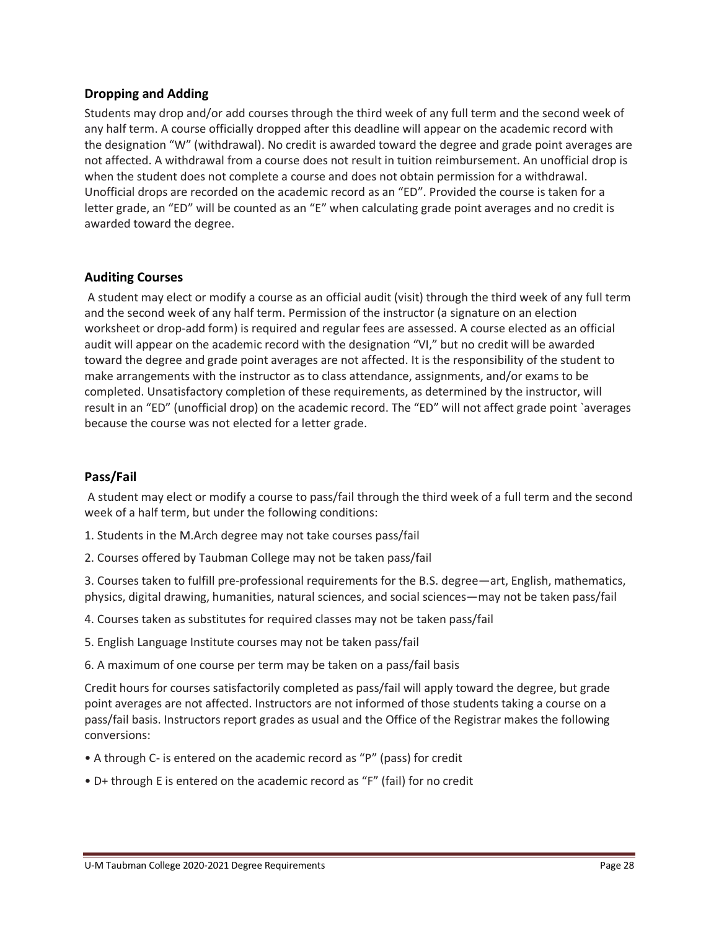## **Dropping and Adding**

Students may drop and/or add courses through the third week of any full term and the second week of any half term. A course officially dropped after this deadline will appear on the academic record with the designation "W" (withdrawal). No credit is awarded toward the degree and grade point averages are not affected. A withdrawal from a course does not result in tuition reimbursement. An unofficial drop is when the student does not complete a course and does not obtain permission for a withdrawal. Unofficial drops are recorded on the academic record as an "ED". Provided the course is taken for a letter grade, an "ED" will be counted as an "E" when calculating grade point averages and no credit is awarded toward the degree.

### **Auditing Courses**

A student may elect or modify a course as an official audit (visit) through the third week of any full term and the second week of any half term. Permission of the instructor (a signature on an election worksheet or drop-add form) is required and regular fees are assessed. A course elected as an official audit will appear on the academic record with the designation "VI," but no credit will be awarded toward the degree and grade point averages are not affected. It is the responsibility of the student to make arrangements with the instructor as to class attendance, assignments, and/or exams to be completed. Unsatisfactory completion of these requirements, as determined by the instructor, will result in an "ED" (unofficial drop) on the academic record. The "ED" will not affect grade point `averages because the course was not elected for a letter grade.

## **Pass/Fail**

A student may elect or modify a course to pass/fail through the third week of a full term and the second week of a half term, but under the following conditions:

- 1. Students in the M.Arch degree may not take courses pass/fail
- 2. Courses offered by Taubman College may not be taken pass/fail

3. Courses taken to fulfill pre-professional requirements for the B.S. degree—art, English, mathematics, physics, digital drawing, humanities, natural sciences, and social sciences—may not be taken pass/fail

- 4. Courses taken as substitutes for required classes may not be taken pass/fail
- 5. English Language Institute courses may not be taken pass/fail
- 6. A maximum of one course per term may be taken on a pass/fail basis

Credit hours for courses satisfactorily completed as pass/fail will apply toward the degree, but grade point averages are not affected. Instructors are not informed of those students taking a course on a pass/fail basis. Instructors report grades as usual and the Office of the Registrar makes the following conversions:

- A through C- is entered on the academic record as "P" (pass) for credit
- D+ through E is entered on the academic record as "F" (fail) for no credit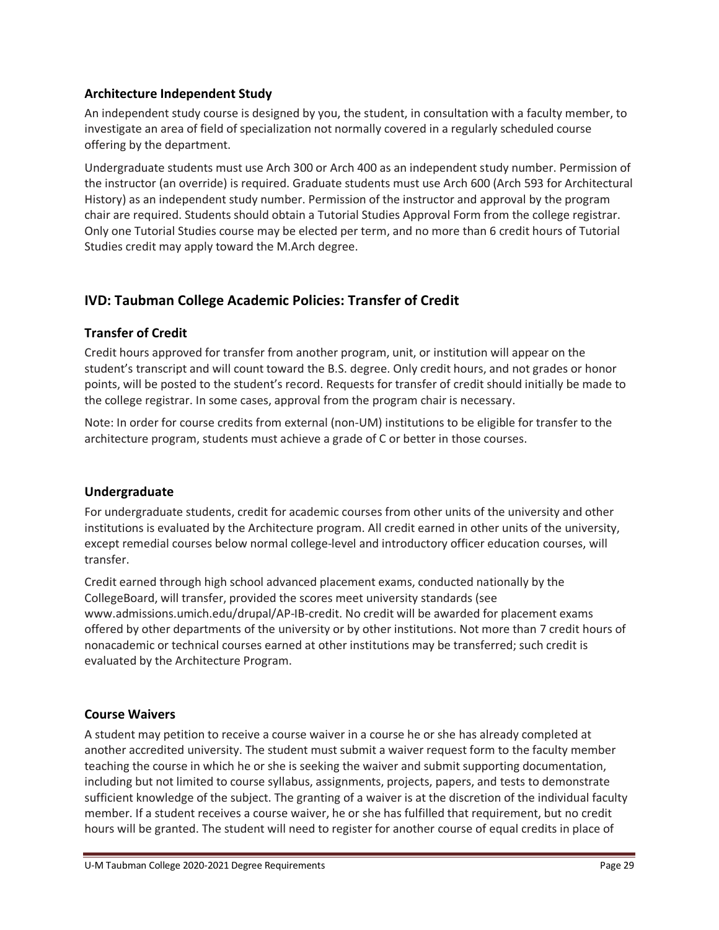## **Architecture Independent Study**

An independent study course is designed by you, the student, in consultation with a faculty member, to investigate an area of field of specialization not normally covered in a regularly scheduled course offering by the department.

Undergraduate students must use Arch 300 or Arch 400 as an independent study number. Permission of the instructor (an override) is required. Graduate students must use Arch 600 (Arch 593 for Architectural History) as an independent study number. Permission of the instructor and approval by the program chair are required. Students should obtain a Tutorial Studies Approval Form from the college registrar. Only one Tutorial Studies course may be elected per term, and no more than 6 credit hours of Tutorial Studies credit may apply toward the M.Arch degree.

## **IVD: Taubman College Academic Policies: Transfer of Credit**

## **Transfer of Credit**

Credit hours approved for transfer from another program, unit, or institution will appear on the student's transcript and will count toward the B.S. degree. Only credit hours, and not grades or honor points, will be posted to the student's record. Requests for transfer of credit should initially be made to the college registrar. In some cases, approval from the program chair is necessary.

Note: In order for course credits from external (non-UM) institutions to be eligible for transfer to the architecture program, students must achieve a grade of C or better in those courses.

## **Undergraduate**

For undergraduate students, credit for academic courses from other units of the university and other institutions is evaluated by the Architecture program. All credit earned in other units of the university, except remedial courses below normal college-level and introductory officer education courses, will transfer.

Credit earned through high school advanced placement exams, conducted nationally by the CollegeBoard, will transfer, provided the scores meet university standards (see www.admissions.umich.edu/drupal/AP-IB-credit. No credit will be awarded for placement exams offered by other departments of the university or by other institutions. Not more than 7 credit hours of nonacademic or technical courses earned at other institutions may be transferred; such credit is evaluated by the Architecture Program.

## **Course Waivers**

A student may petition to receive a course waiver in a course he or she has already completed at another accredited university. The student must submit a waiver request form to the faculty member teaching the course in which he or she is seeking the waiver and submit supporting documentation, including but not limited to course syllabus, assignments, projects, papers, and tests to demonstrate sufficient knowledge of the subject. The granting of a waiver is at the discretion of the individual faculty member. If a student receives a course waiver, he or she has fulfilled that requirement, but no credit hours will be granted. The student will need to register for another course of equal credits in place of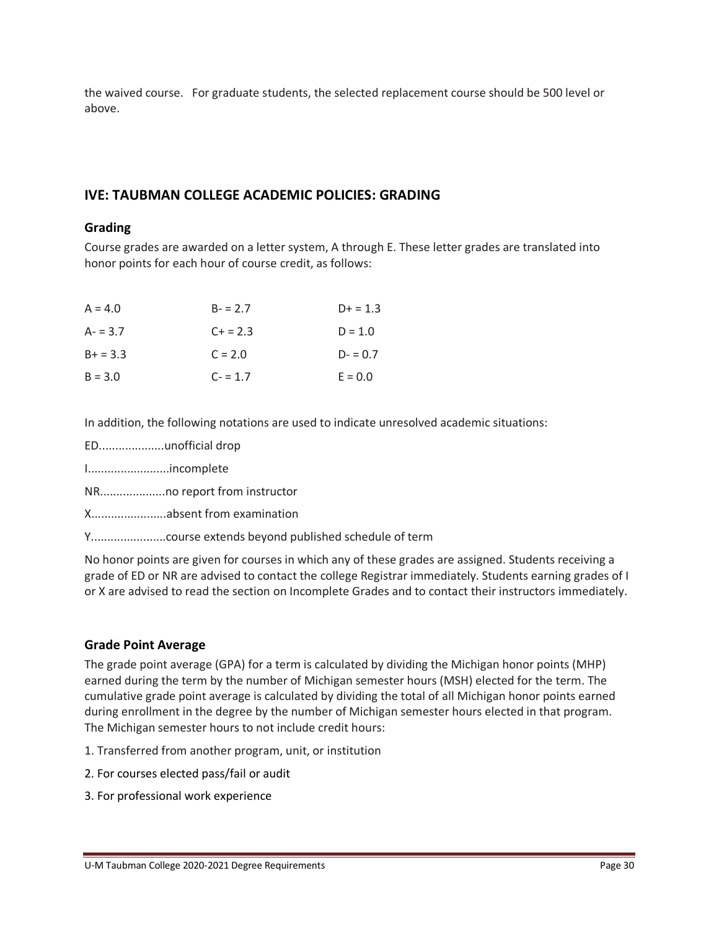the waived course. For graduate students, the selected replacement course should be 500 level or above.

## **IVE: TAUBMAN COLLEGE ACADEMIC POLICIES: GRADING**

#### **Grading**

Course grades are awarded on a letter system, A through E. These letter grades are translated into honor points for each hour of course credit, as follows:

| $A = 4.0$  | $B - 2.7$ | $D+ = 1.3$ |
|------------|-----------|------------|
| $A - 3.7$  | $C + 2.3$ | $D = 1.0$  |
| $B+ = 3.3$ | $C = 2.0$ | $D = 0.7$  |
| $B = 3.0$  | $C - 1.7$ | $E = 0.0$  |

In addition, the following notations are used to indicate unresolved academic situations:

- ED....................unofficial drop
- I.........................incomplete
- NR....................no report from instructor
- X.......................absent from examination
- Y.......................course extends beyond published schedule of term

No honor points are given for courses in which any of these grades are assigned. Students receiving a grade of ED or NR are advised to contact the college Registrar immediately. Students earning grades of I or X are advised to read the section on Incomplete Grades and to contact their instructors immediately.

## **Grade Point Average**

The grade point average (GPA) for a term is calculated by dividing the Michigan honor points (MHP) earned during the term by the number of Michigan semester hours (MSH) elected for the term. The cumulative grade point average is calculated by dividing the total of all Michigan honor points earned during enrollment in the degree by the number of Michigan semester hours elected in that program. The Michigan semester hours to not include credit hours:

- 1. Transferred from another program, unit, or institution
- 2. For courses elected pass/fail or audit
- 3. For professional work experience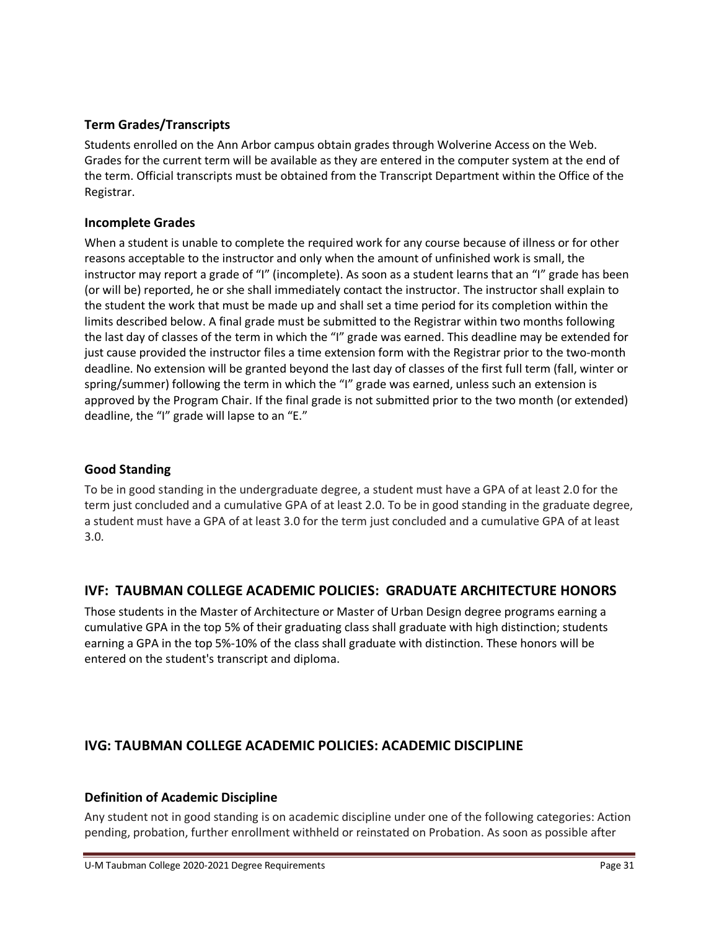## **Term Grades/Transcripts**

Students enrolled on the Ann Arbor campus obtain grades through Wolverine Access on the Web. Grades for the current term will be available as they are entered in the computer system at the end of the term. Official transcripts must be obtained from the Transcript Department within the Office of the Registrar.

## **Incomplete Grades**

When a student is unable to complete the required work for any course because of illness or for other reasons acceptable to the instructor and only when the amount of unfinished work is small, the instructor may report a grade of "I" (incomplete). As soon as a student learns that an "I" grade has been (or will be) reported, he or she shall immediately contact the instructor. The instructor shall explain to the student the work that must be made up and shall set a time period for its completion within the limits described below. A final grade must be submitted to the Registrar within two months following the last day of classes of the term in which the "I" grade was earned. This deadline may be extended for just cause provided the instructor files a time extension form with the Registrar prior to the two-month deadline. No extension will be granted beyond the last day of classes of the first full term (fall, winter or spring/summer) following the term in which the "I" grade was earned, unless such an extension is approved by the Program Chair. If the final grade is not submitted prior to the two month (or extended) deadline, the "I" grade will lapse to an "E."

## **Good Standing**

To be in good standing in the undergraduate degree, a student must have a GPA of at least 2.0 for the term just concluded and a cumulative GPA of at least 2.0. To be in good standing in the graduate degree, a student must have a GPA of at least 3.0 for the term just concluded and a cumulative GPA of at least 3.0.

## **IVF: TAUBMAN COLLEGE ACADEMIC POLICIES: GRADUATE ARCHITECTURE HONORS**

Those students in the Master of Architecture or Master of Urban Design degree programs earning a cumulative GPA in the top 5% of their graduating class shall graduate with high distinction; students earning a GPA in the top 5%-10% of the class shall graduate with distinction. These honors will be entered on the student's transcript and diploma.

## **IVG: TAUBMAN COLLEGE ACADEMIC POLICIES: ACADEMIC DISCIPLINE**

## **Definition of Academic Discipline**

Any student not in good standing is on academic discipline under one of the following categories: Action pending, probation, further enrollment withheld or reinstated on Probation. As soon as possible after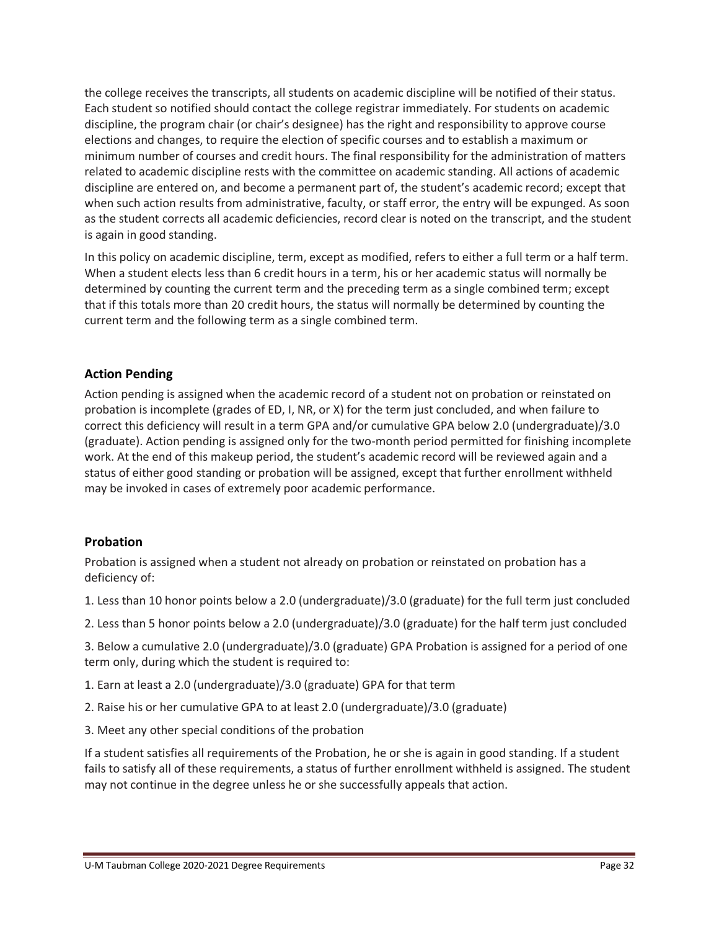the college receives the transcripts, all students on academic discipline will be notified of their status. Each student so notified should contact the college registrar immediately. For students on academic discipline, the program chair (or chair's designee) has the right and responsibility to approve course elections and changes, to require the election of specific courses and to establish a maximum or minimum number of courses and credit hours. The final responsibility for the administration of matters related to academic discipline rests with the committee on academic standing. All actions of academic discipline are entered on, and become a permanent part of, the student's academic record; except that when such action results from administrative, faculty, or staff error, the entry will be expunged. As soon as the student corrects all academic deficiencies, record clear is noted on the transcript, and the student is again in good standing.

In this policy on academic discipline, term, except as modified, refers to either a full term or a half term. When a student elects less than 6 credit hours in a term, his or her academic status will normally be determined by counting the current term and the preceding term as a single combined term; except that if this totals more than 20 credit hours, the status will normally be determined by counting the current term and the following term as a single combined term.

## **Action Pending**

Action pending is assigned when the academic record of a student not on probation or reinstated on probation is incomplete (grades of ED, I, NR, or X) for the term just concluded, and when failure to correct this deficiency will result in a term GPA and/or cumulative GPA below 2.0 (undergraduate)/3.0 (graduate). Action pending is assigned only for the two-month period permitted for finishing incomplete work. At the end of this makeup period, the student's academic record will be reviewed again and a status of either good standing or probation will be assigned, except that further enrollment withheld may be invoked in cases of extremely poor academic performance.

#### **Probation**

Probation is assigned when a student not already on probation or reinstated on probation has a deficiency of:

1. Less than 10 honor points below a 2.0 (undergraduate)/3.0 (graduate) for the full term just concluded

2. Less than 5 honor points below a 2.0 (undergraduate)/3.0 (graduate) for the half term just concluded

3. Below a cumulative 2.0 (undergraduate)/3.0 (graduate) GPA Probation is assigned for a period of one term only, during which the student is required to:

1. Earn at least a 2.0 (undergraduate)/3.0 (graduate) GPA for that term

2. Raise his or her cumulative GPA to at least 2.0 (undergraduate)/3.0 (graduate)

3. Meet any other special conditions of the probation

If a student satisfies all requirements of the Probation, he or she is again in good standing. If a student fails to satisfy all of these requirements, a status of further enrollment withheld is assigned. The student may not continue in the degree unless he or she successfully appeals that action.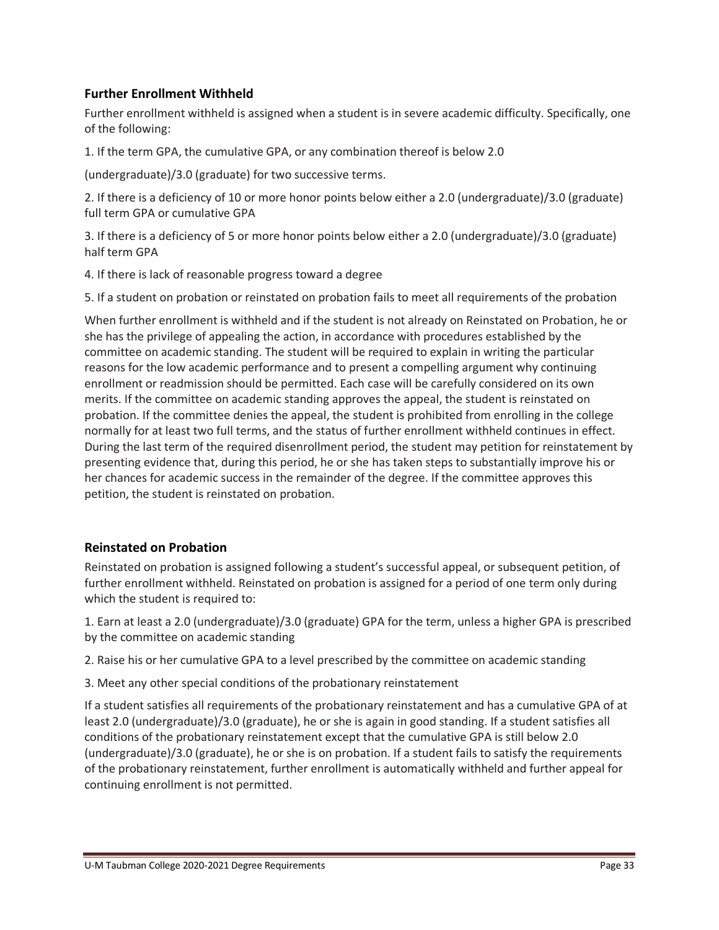## **Further Enrollment Withheld**

Further enrollment withheld is assigned when a student is in severe academic difficulty. Specifically, one of the following:

1. If the term GPA, the cumulative GPA, or any combination thereof is below 2.0

(undergraduate)/3.0 (graduate) for two successive terms.

2. If there is a deficiency of 10 or more honor points below either a 2.0 (undergraduate)/3.0 (graduate) full term GPA or cumulative GPA

3. If there is a deficiency of 5 or more honor points below either a 2.0 (undergraduate)/3.0 (graduate) half term GPA

4. If there is lack of reasonable progress toward a degree

5. If a student on probation or reinstated on probation fails to meet all requirements of the probation

When further enrollment is withheld and if the student is not already on Reinstated on Probation, he or she has the privilege of appealing the action, in accordance with procedures established by the committee on academic standing. The student will be required to explain in writing the particular reasons for the low academic performance and to present a compelling argument why continuing enrollment or readmission should be permitted. Each case will be carefully considered on its own merits. If the committee on academic standing approves the appeal, the student is reinstated on probation. If the committee denies the appeal, the student is prohibited from enrolling in the college normally for at least two full terms, and the status of further enrollment withheld continues in effect. During the last term of the required disenrollment period, the student may petition for reinstatement by presenting evidence that, during this period, he or she has taken steps to substantially improve his or her chances for academic success in the remainder of the degree. If the committee approves this petition, the student is reinstated on probation.

#### **Reinstated on Probation**

Reinstated on probation is assigned following a student's successful appeal, or subsequent petition, of further enrollment withheld. Reinstated on probation is assigned for a period of one term only during which the student is required to:

1. Earn at least a 2.0 (undergraduate)/3.0 (graduate) GPA for the term, unless a higher GPA is prescribed by the committee on academic standing

2. Raise his or her cumulative GPA to a level prescribed by the committee on academic standing

3. Meet any other special conditions of the probationary reinstatement

If a student satisfies all requirements of the probationary reinstatement and has a cumulative GPA of at least 2.0 (undergraduate)/3.0 (graduate), he or she is again in good standing. If a student satisfies all conditions of the probationary reinstatement except that the cumulative GPA is still below 2.0 (undergraduate)/3.0 (graduate), he or she is on probation. If a student fails to satisfy the requirements of the probationary reinstatement, further enrollment is automatically withheld and further appeal for continuing enrollment is not permitted.